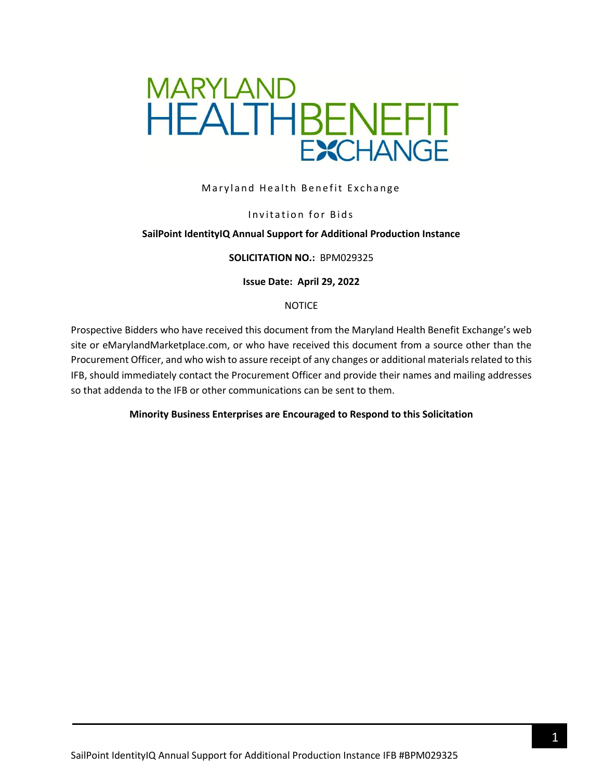

### Maryland Health Benefit Exchange

#### Invitation for Bids

#### **SailPoint IdentityIQ Annual Support for Additional Production Instance**

#### **SOLICITATION NO.:** BPM029325

#### **Issue Date: April 29, 2022**

#### NOTICE

Prospective Bidders who have received this document from the Maryland Health Benefit Exchange's web site or eMarylandMarketplace.com, or who have received this document from a source other than the Procurement Officer, and who wish to assure receipt of any changes or additional materials related to this IFB, should immediately contact the Procurement Officer and provide their names and mailing addresses so that addenda to the IFB or other communications can be sent to them.

#### **Minority Business Enterprises are Encouraged to Respond to this Solicitation**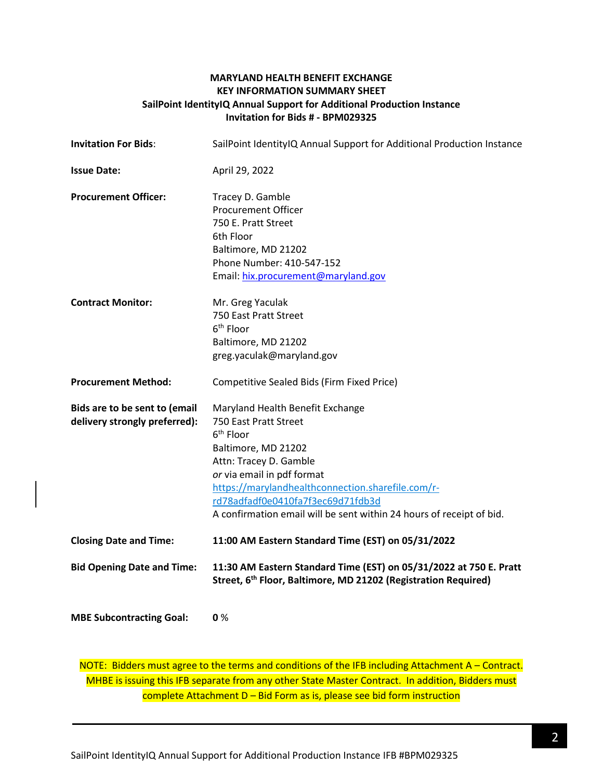## **MARYLAND HEALTH BENEFIT EXCHANGE KEY INFORMATION SUMMARY SHEET SailPoint IdentityIQ Annual Support for Additional Production Instance Invitation for Bids # - BPM029325**

| <b>Invitation For Bids:</b>                                    | SailPoint IdentityIQ Annual Support for Additional Production Instance                                                                                                                                                                                                                                                              |  |  |
|----------------------------------------------------------------|-------------------------------------------------------------------------------------------------------------------------------------------------------------------------------------------------------------------------------------------------------------------------------------------------------------------------------------|--|--|
| <b>Issue Date:</b>                                             | April 29, 2022                                                                                                                                                                                                                                                                                                                      |  |  |
| <b>Procurement Officer:</b>                                    | Tracey D. Gamble<br><b>Procurement Officer</b><br>750 E. Pratt Street<br>6th Floor<br>Baltimore, MD 21202<br>Phone Number: 410-547-152<br>Email: hix.procurement@maryland.gov                                                                                                                                                       |  |  |
| <b>Contract Monitor:</b>                                       | Mr. Greg Yaculak<br>750 East Pratt Street<br>6 <sup>th</sup> Floor<br>Baltimore, MD 21202<br>greg.yaculak@maryland.gov                                                                                                                                                                                                              |  |  |
| <b>Procurement Method:</b>                                     | Competitive Sealed Bids (Firm Fixed Price)                                                                                                                                                                                                                                                                                          |  |  |
| Bids are to be sent to (email<br>delivery strongly preferred): | Maryland Health Benefit Exchange<br>750 East Pratt Street<br>6 <sup>th</sup> Floor<br>Baltimore, MD 21202<br>Attn: Tracey D. Gamble<br>or via email in pdf format<br>https://marylandhealthconnection.sharefile.com/r-<br>rd78adfadf0e0410fa7f3ec69d71fdb3d<br>A confirmation email will be sent within 24 hours of receipt of bid. |  |  |
| <b>Closing Date and Time:</b>                                  | 11:00 AM Eastern Standard Time (EST) on 05/31/2022                                                                                                                                                                                                                                                                                  |  |  |
| <b>Bid Opening Date and Time:</b>                              | 11:30 AM Eastern Standard Time (EST) on 05/31/2022 at 750 E. Pratt<br>Street, 6 <sup>th</sup> Floor, Baltimore, MD 21202 (Registration Required)                                                                                                                                                                                    |  |  |
| <b>MBE Subcontracting Goal:</b>                                | 0%                                                                                                                                                                                                                                                                                                                                  |  |  |

NOTE: Bidders must agree to the terms and conditions of the IFB including Attachment A - Contract. MHBE is issuing this IFB separate from any other State Master Contract. In addition, Bidders must complete Attachment D – Bid Form as is, please see bid form instruction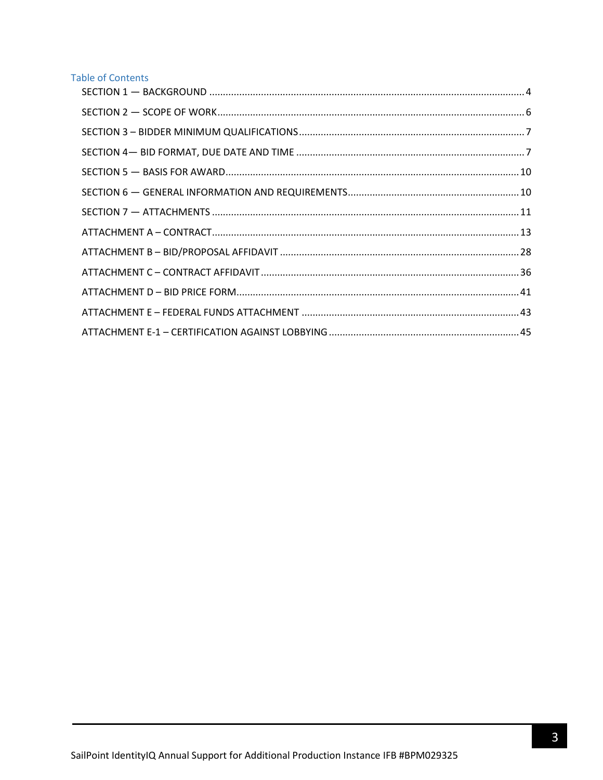# **Table of Contents**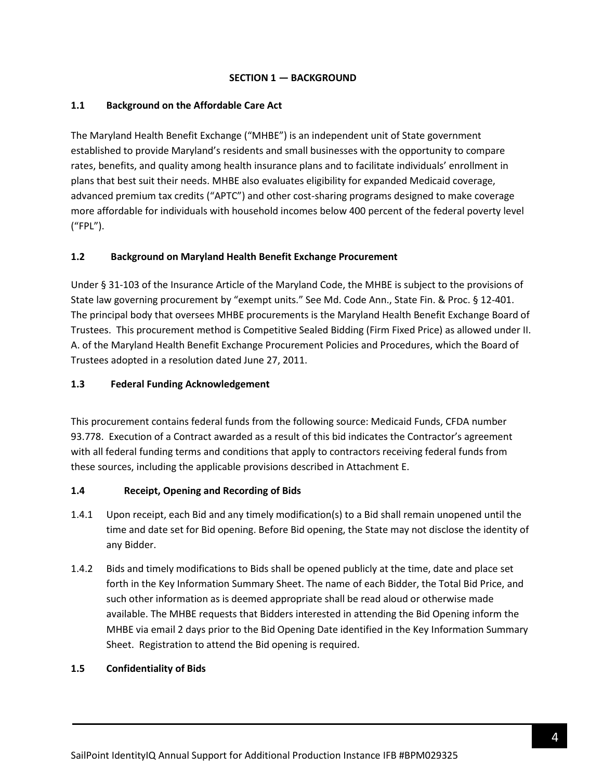### **SECTION 1 — BACKGROUND**

## <span id="page-3-0"></span>**1.1 Background on the Affordable Care Act**

The Maryland Health Benefit Exchange ("MHBE") is an independent unit of State government established to provide Maryland's residents and small businesses with the opportunity to compare rates, benefits, and quality among health insurance plans and to facilitate individuals' enrollment in plans that best suit their needs. MHBE also evaluates eligibility for expanded Medicaid coverage, advanced premium tax credits ("APTC") and other cost-sharing programs designed to make coverage more affordable for individuals with household incomes below 400 percent of the federal poverty level ("FPL").

# **1.2 Background on Maryland Health Benefit Exchange Procurement**

Under § 31-103 of the Insurance Article of the Maryland Code, the MHBE is subject to the provisions of State law governing procurement by "exempt units." See Md. Code Ann., State Fin. & Proc. § 12-401. The principal body that oversees MHBE procurements is the Maryland Health Benefit Exchange Board of Trustees. This procurement method is Competitive Sealed Bidding (Firm Fixed Price) as allowed under II. A. of the Maryland Health Benefit Exchange Procurement Policies and Procedures, which the Board of Trustees adopted in a resolution dated June 27, 2011.

### **1.3 Federal Funding Acknowledgement**

This procurement contains federal funds from the following source: Medicaid Funds, CFDA number 93.778. Execution of a Contract awarded as a result of this bid indicates the Contractor's agreement with all federal funding terms and conditions that apply to contractors receiving federal funds from these sources, including the applicable provisions described in Attachment E.

### **1.4 Receipt, Opening and Recording of Bids**

- 1.4.1 Upon receipt, each Bid and any timely modification(s) to a Bid shall remain unopened until the time and date set for Bid opening. Before Bid opening, the State may not disclose the identity of any Bidder.
- 1.4.2 Bids and timely modifications to Bids shall be opened publicly at the time, date and place set forth in the Key Information Summary Sheet. The name of each Bidder, the Total Bid Price, and such other information as is deemed appropriate shall be read aloud or otherwise made available. The MHBE requests that Bidders interested in attending the Bid Opening inform the MHBE via email 2 days prior to the Bid Opening Date identified in the Key Information Summary Sheet. Registration to attend the Bid opening is required.

### **1.5 Confidentiality of Bids**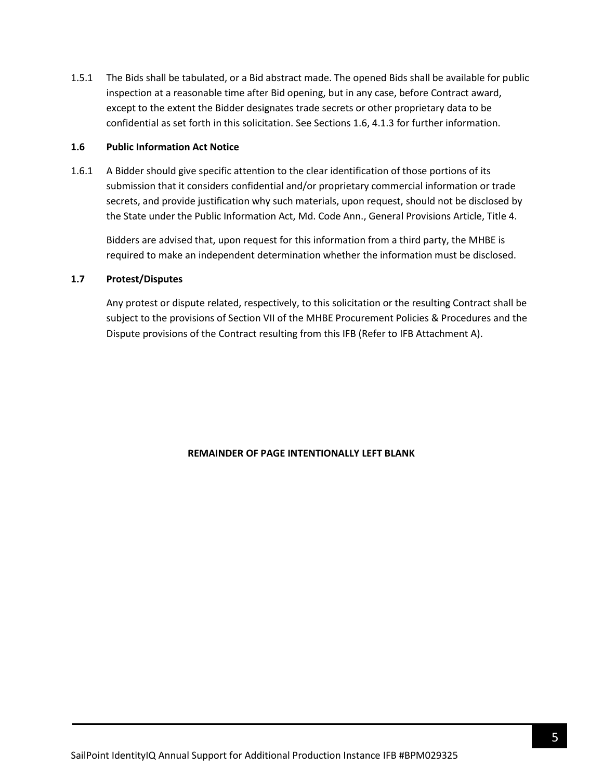1.5.1 The Bids shall be tabulated, or a Bid abstract made. The opened Bids shall be available for public inspection at a reasonable time after Bid opening, but in any case, before Contract award, except to the extent the Bidder designates trade secrets or other proprietary data to be confidential as set forth in this solicitation. See Sections 1.6, 4.1.3 for further information.

#### **1.6 Public Information Act Notice**

1.6.1 A Bidder should give specific attention to the clear identification of those portions of its submission that it considers confidential and/or proprietary commercial information or trade secrets, and provide justification why such materials, upon request, should not be disclosed by the State under the Public Information Act, Md. Code Ann., General Provisions Article, Title 4.

Bidders are advised that, upon request for this information from a third party, the MHBE is required to make an independent determination whether the information must be disclosed.

### **1.7 Protest/Disputes**

Any protest or dispute related, respectively, to this solicitation or the resulting Contract shall be subject to the provisions of Section VII of the MHBE Procurement Policies & Procedures and the Dispute provisions of the Contract resulting from this IFB (Refer to IFB Attachment A).

### **REMAINDER OF PAGE INTENTIONALLY LEFT BLANK**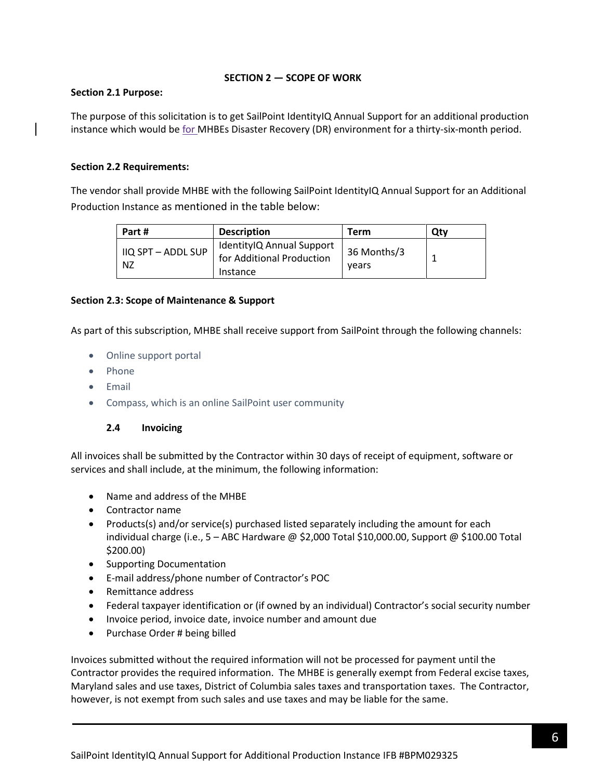### **SECTION 2 — SCOPE OF WORK**

### <span id="page-5-0"></span>**Section 2.1 Purpose:**

The purpose of this solicitation is to get SailPoint IdentityIQ Annual Support for an additional production instance which would be for MHBEs Disaster Recovery (DR) environment for a thirty-six-month period.

### **Section 2.2 Requirements:**

The vendor shall provide MHBE with the following SailPoint IdentityIQ Annual Support for an Additional Production Instance as mentioned in the table below:

| Part #                   | <b>Description</b>                                                 | Term                 | Qtv |
|--------------------------|--------------------------------------------------------------------|----------------------|-----|
| IIQ SPT - ADDL SUP<br>NZ | IdentityIQ Annual Support<br>for Additional Production<br>Instance | 36 Months/3<br>vears |     |

### **Section 2.3: Scope of Maintenance & Support**

As part of this subscription, MHBE shall receive support from SailPoint through the following channels:

- Online support portal
- Phone
- Email
- Compass, which is an online SailPoint user community

# **2.4 Invoicing**

All invoices shall be submitted by the Contractor within 30 days of receipt of equipment, software or services and shall include, at the minimum, the following information:

- Name and address of the MHBE
- Contractor name
- Products(s) and/or service(s) purchased listed separately including the amount for each individual charge (i.e.,  $5 - ABC$  Hardware @ \$2,000 Total \$10,000.00, Support @ \$100.00 Total \$200.00)
- Supporting Documentation
- E-mail address/phone number of Contractor's POC
- Remittance address
- Federal taxpayer identification or (if owned by an individual) Contractor's social security number
- Invoice period, invoice date, invoice number and amount due
- Purchase Order # being billed

Invoices submitted without the required information will not be processed for payment until the Contractor provides the required information. The MHBE is generally exempt from Federal excise taxes, Maryland sales and use taxes, District of Columbia sales taxes and transportation taxes. The Contractor, however, is not exempt from such sales and use taxes and may be liable for the same.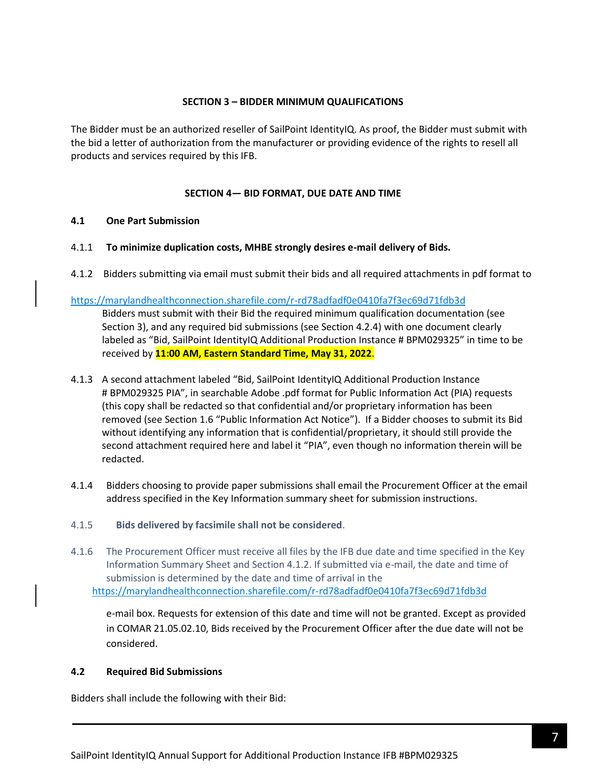#### **SECTION 3 – BIDDER MINIMUM QUALIFICATIONS**

<span id="page-6-0"></span>The Bidder must be an authorized reseller of SailPoint IdentityIQ. As proof, the Bidder must submit with the bid a letter of authorization from the manufacturer or providing evidence of the rights to resell all products and services required by this IFB.

### **SECTION 4— BID FORMAT, DUE DATE AND TIME**

#### <span id="page-6-1"></span>**4.1 One Part Submission**

- 4.1.1 **To minimize duplication costs, MHBE strongly desires e-mail delivery of Bids***.*
- 4.1.2 Bidders submitting via email must submit their bids and all required attachments in pdf format to

#### https://marylandhealthconnection.sharefile.com/r-rd78adfadf0e0410fa7f3ec69d71fdb3d

Bidders must submit with their Bid the required minimum qualification documentation (see Section 3), and any required bid submissions (see Section 4.2.4) with one document clearly labeled as "Bid, SailPoint IdentityIQ Additional Production Instance # BPM029325" in time to be received by **11:00 AM, Eastern Standard Time, May 31, 2022**.

- 4.1.3 A second attachment labeled "Bid, SailPoint IdentityIQ Additional Production Instance # BPM029325 PIA", in searchable Adobe .pdf format for Public Information Act (PIA) requests (this copy shall be redacted so that confidential and/or proprietary information has been removed (see Section 1.6 "Public Information Act Notice"). If a Bidder chooses to submit its Bid without identifying any information that is confidential/proprietary, it should still provide the second attachment required here and label it "PIA", even though no information therein will be redacted.
- 4.1.4 Bidders choosing to provide paper submissions shall email the Procurement Officer at the email address specified in the Key Information summary sheet for submission instructions.
- 4.1.5 **Bids delivered by facsimile shall not be considered**.
- 4.1.6 The Procurement Officer must receive all files by the IFB due date and time specified in the Key Information Summary Sheet and Section 4.1.2. If submitted via e-mail, the date and time of submission is determined by the date and time of arrival in the https://marylandhealthconnection.sharefile.com/r-rd78adfadf0e0410fa7f3ec69d71fdb3d

e-mail box. Requests for extension of this date and time will not be granted. Except as provided in COMAR 21.05.02.10, Bids received by the Procurement Officer after the due date will not be considered.

### **4.2 Required Bid Submissions**

Bidders shall include the following with their Bid: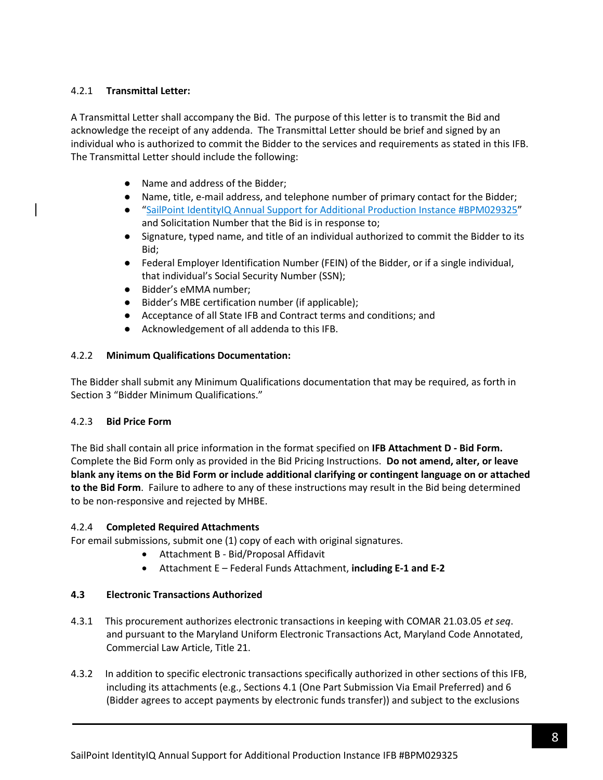# 4.2.1 **Transmittal Letter:**

A Transmittal Letter shall accompany the Bid. The purpose of this letter is to transmit the Bid and acknowledge the receipt of any addenda. The Transmittal Letter should be brief and signed by an individual who is authorized to commit the Bidder to the services and requirements as stated in this IFB. The Transmittal Letter should include the following:

- Name and address of the Bidder;
- Name, title, e-mail address, and telephone number of primary contact for the Bidder;
- "SailPoint IdentityIQ Annual Support for Additional Production Instance #BPM029325" and Solicitation Number that the Bid is in response to;
- Signature, typed name, and title of an individual authorized to commit the Bidder to its Bid;
- Federal Employer Identification Number (FEIN) of the Bidder, or if a single individual, that individual's Social Security Number (SSN);
- Bidder's eMMA number;
- Bidder's MBE certification number (if applicable);
- Acceptance of all State IFB and Contract terms and conditions; and
- Acknowledgement of all addenda to this IFB.

### 4.2.2 **Minimum Qualifications Documentation:**

The Bidder shall submit any Minimum Qualifications documentation that may be required, as forth in Section 3 "Bidder Minimum Qualifications."

### 4.2.3 **Bid Price Form**

The Bid shall contain all price information in the format specified on **IFB Attachment D - Bid Form.** Complete the Bid Form only as provided in the Bid Pricing Instructions. **Do not amend, alter, or leave blank any items on the Bid Form or include additional clarifying or contingent language on or attached to the Bid Form**. Failure to adhere to any of these instructions may result in the Bid being determined to be non-responsive and rejected by MHBE.

### 4.2.4 **Completed Required Attachments**

For email submissions, submit one (1) copy of each with original signatures.

- Attachment B Bid/Proposal Affidavit
- Attachment E Federal Funds Attachment, **including E-1 and E-2**

### **4.3 Electronic Transactions Authorized**

- 4.3.1 This procurement authorizes electronic transactions in keeping with COMAR 21.03.05 *et seq*. and pursuant to the Maryland Uniform Electronic Transactions Act, Maryland Code Annotated, Commercial Law Article, Title 21.
- 4.3.2 In addition to specific electronic transactions specifically authorized in other sections of this IFB, including its attachments (e.g., Sections 4.1 (One Part Submission Via Email Preferred) and 6 (Bidder agrees to accept payments by electronic funds transfer)) and subject to the exclusions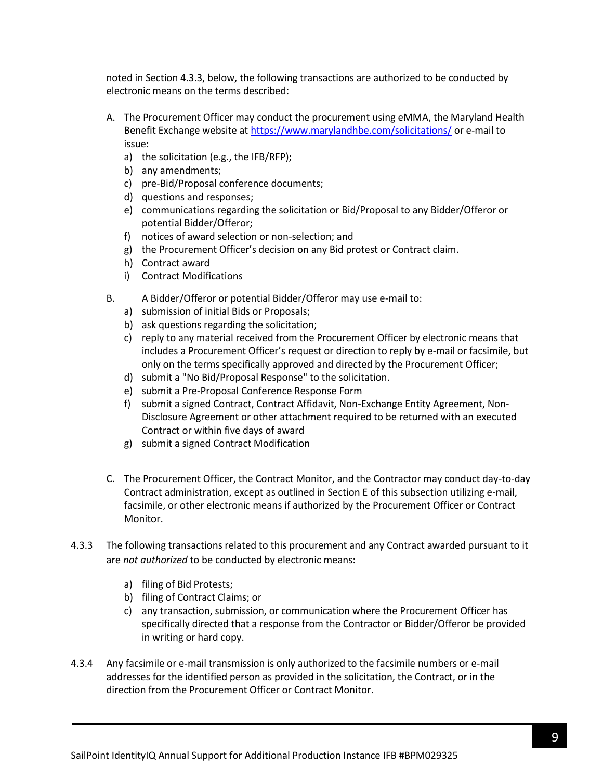noted in Section 4.3.3, below, the following transactions are authorized to be conducted by electronic means on the terms described:

- A. The Procurement Officer may conduct the procurement using eMMA, the Maryland Health Benefit Exchange website a[t https://www.marylandhbe.com/solicitations/](https://www.marylandhbe.com/solicitations/) or e-mail to issue:
	- a) the solicitation (e.g., the IFB/RFP);
	- b) any amendments;
	- c) pre-Bid/Proposal conference documents;
	- d) questions and responses;
	- e) communications regarding the solicitation or Bid/Proposal to any Bidder/Offeror or potential Bidder/Offeror;
	- f) notices of award selection or non-selection; and
	- g) the Procurement Officer's decision on any Bid protest or Contract claim.
	- h) Contract award
	- i) Contract Modifications
- B. A Bidder/Offeror or potential Bidder/Offeror may use e-mail to:
	- a) submission of initial Bids or Proposals;
	- b) ask questions regarding the solicitation;
	- c) reply to any material received from the Procurement Officer by electronic means that includes a Procurement Officer's request or direction to reply by e-mail or facsimile, but only on the terms specifically approved and directed by the Procurement Officer;
	- d) submit a "No Bid/Proposal Response" to the solicitation.
	- e) submit a Pre-Proposal Conference Response Form
	- f) submit a signed Contract, Contract Affidavit, Non-Exchange Entity Agreement, Non-Disclosure Agreement or other attachment required to be returned with an executed Contract or within five days of award
	- g) submit a signed Contract Modification
- C. The Procurement Officer, the Contract Monitor, and the Contractor may conduct day-to-day Contract administration, except as outlined in Section E of this subsection utilizing e-mail, facsimile, or other electronic means if authorized by the Procurement Officer or Contract Monitor.
- 4.3.3 The following transactions related to this procurement and any Contract awarded pursuant to it are *not authorized* to be conducted by electronic means:
	- a) filing of Bid Protests;
	- b) filing of Contract Claims; or
	- c) any transaction, submission, or communication where the Procurement Officer has specifically directed that a response from the Contractor or Bidder/Offeror be provided in writing or hard copy.
- 4.3.4 Any facsimile or e-mail transmission is only authorized to the facsimile numbers or e-mail addresses for the identified person as provided in the solicitation, the Contract, or in the direction from the Procurement Officer or Contract Monitor.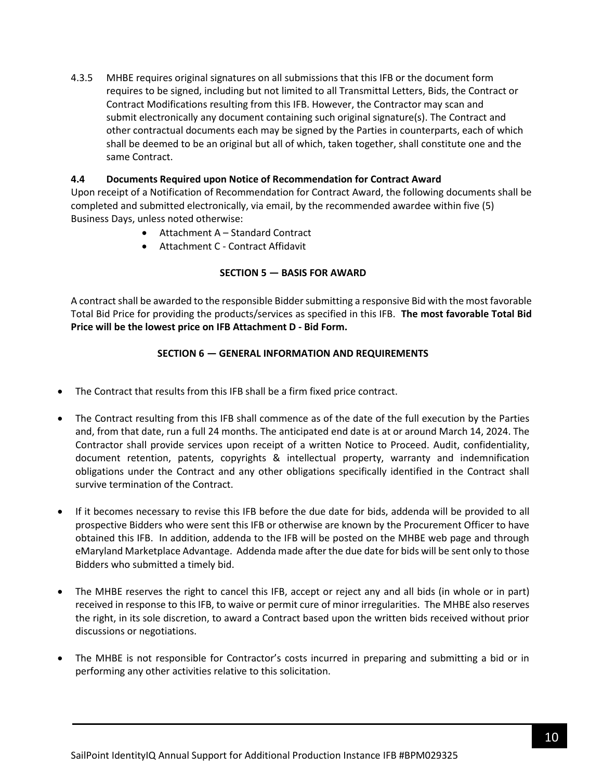4.3.5 MHBE requires original signatures on all submissions that this IFB or the document form requires to be signed, including but not limited to all Transmittal Letters, Bids, the Contract or Contract Modifications resulting from this IFB. However, the Contractor may scan and submit electronically any document containing such original signature(s). The Contract and other contractual documents each may be signed by the Parties in counterparts, each of which shall be deemed to be an original but all of which, taken together, shall constitute one and the same Contract.

### **4.4 Documents Required upon Notice of Recommendation for Contract Award**

Upon receipt of a Notification of Recommendation for Contract Award, the following documents shall be completed and submitted electronically, via email, by the recommended awardee within five (5) Business Days, unless noted otherwise:

- Attachment A Standard Contract
- Attachment C Contract Affidavit

### **SECTION 5 — BASIS FOR AWARD**

<span id="page-9-0"></span>A contract shall be awarded to the responsible Bidder submitting a responsive Bid with the most favorable Total Bid Price for providing the products/services as specified in this IFB. **The most favorable Total Bid Price will be the lowest price on IFB Attachment D - Bid Form.**

### **SECTION 6 — GENERAL INFORMATION AND REQUIREMENTS**

- <span id="page-9-1"></span>• The Contract that results from this IFB shall be a firm fixed price contract.
- The Contract resulting from this IFB shall commence as of the date of the full execution by the Parties and, from that date, run a full 24 months. The anticipated end date is at or around March 14, 2024. The Contractor shall provide services upon receipt of a written Notice to Proceed. Audit, confidentiality, document retention, patents, copyrights & intellectual property, warranty and indemnification obligations under the Contract and any other obligations specifically identified in the Contract shall survive termination of the Contract.
- If it becomes necessary to revise this IFB before the due date for bids, addenda will be provided to all prospective Bidders who were sent this IFB or otherwise are known by the Procurement Officer to have obtained this IFB. In addition, addenda to the IFB will be posted on the MHBE web page and through eMaryland Marketplace Advantage. Addenda made after the due date for bids will be sent only to those Bidders who submitted a timely bid.
- The MHBE reserves the right to cancel this IFB, accept or reject any and all bids (in whole or in part) received in response to this IFB, to waive or permit cure of minor irregularities. The MHBE also reserves the right, in its sole discretion, to award a Contract based upon the written bids received without prior discussions or negotiations.
- The MHBE is not responsible for Contractor's costs incurred in preparing and submitting a bid or in performing any other activities relative to this solicitation.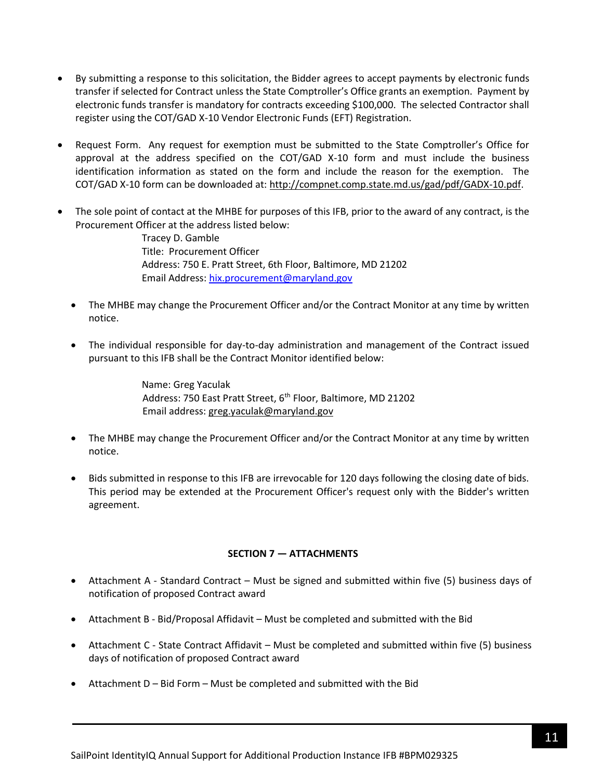- By submitting a response to this solicitation, the Bidder agrees to accept payments by electronic funds transfer if selected for Contract unless the State Comptroller's Office grants an exemption. Payment by electronic funds transfer is mandatory for contracts exceeding \$100,000. The selected Contractor shall register using the COT/GAD X-10 Vendor Electronic Funds (EFT) Registration.
- Request Form. Any request for exemption must be submitted to the State Comptroller's Office for approval at the address specified on the COT/GAD X-10 form and must include the business identification information as stated on the form and include the reason for the exemption. The COT/GAD X-10 form can be downloaded at[: http://compnet.comp.state.md.us/gad/pdf/GADX-10.pdf.](http://compnet.comp.state.md.us/gad/pdf/GADX-10.pdf)
- The sole point of contact at the MHBE for purposes of this IFB, prior to the award of any contract, is the Procurement Officer at the address listed below:

Tracey D. Gamble Title: Procurement Officer Address: 750 E. Pratt Street, 6th Floor, Baltimore, MD 21202 Email Address: [hix.procurement@maryland.gov](mailto:hix.procurement@maryland.gov)

- The MHBE may change the Procurement Officer and/or the Contract Monitor at any time by written notice.
- The individual responsible for day-to-day administration and management of the Contract issued pursuant to this IFB shall be the Contract Monitor identified below:

Name: Greg Yaculak Address: 750 East Pratt Street, 6<sup>th</sup> Floor, Baltimore, MD 21202 Email address: [greg.yaculak@maryland.gov](mailto:greg.yaculak@maryland.gov) 

- The MHBE may change the Procurement Officer and/or the Contract Monitor at any time by written notice.
- Bids submitted in response to this IFB are irrevocable for 120 days following the closing date of bids. This period may be extended at the Procurement Officer's request only with the Bidder's written agreement.

### **SECTION 7 — ATTACHMENTS**

- <span id="page-10-0"></span>• Attachment A - Standard Contract – Must be signed and submitted within five (5) business days of notification of proposed Contract award
- Attachment B Bid/Proposal Affidavit Must be completed and submitted with the Bid
- Attachment C State Contract Affidavit Must be completed and submitted within five (5) business days of notification of proposed Contract award
- Attachment D Bid Form Must be completed and submitted with the Bid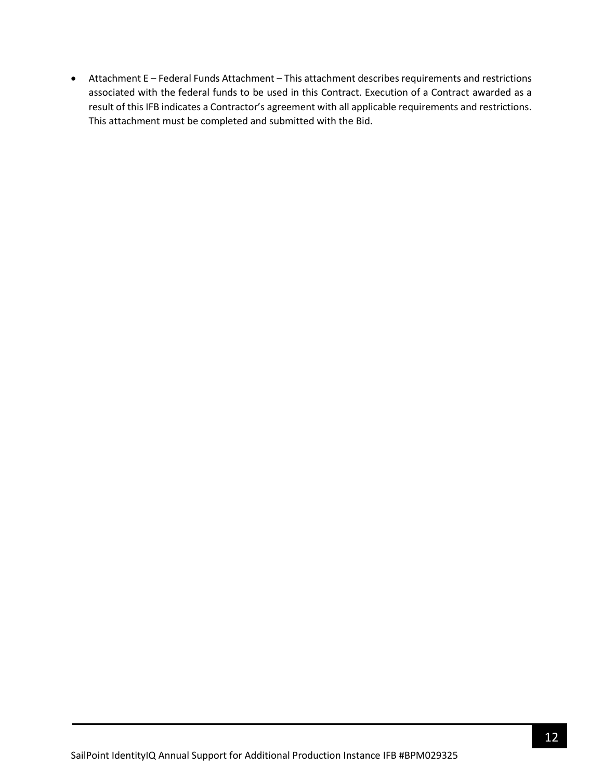• Attachment E – Federal Funds Attachment – This attachment describes requirements and restrictions associated with the federal funds to be used in this Contract. Execution of a Contract awarded as a result of this IFB indicates a Contractor's agreement with all applicable requirements and restrictions. This attachment must be completed and submitted with the Bid.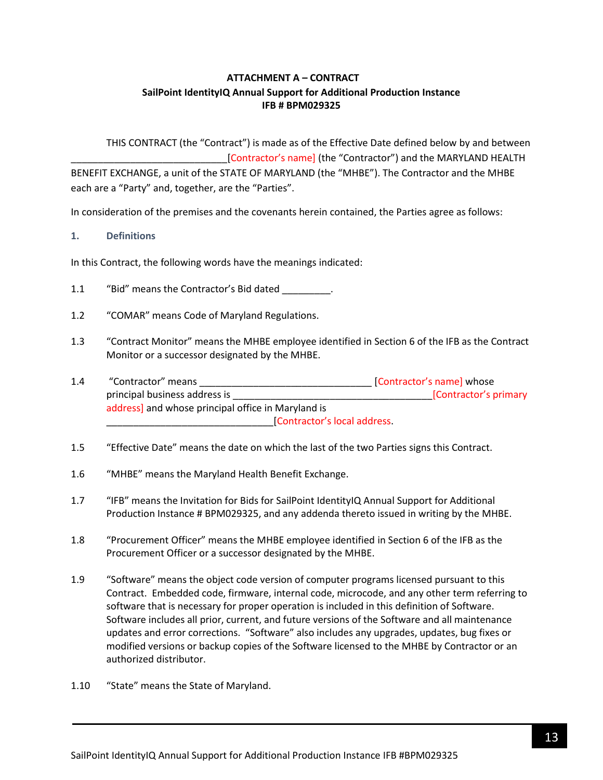# **ATTACHMENT A – CONTRACT SailPoint IdentityIQ Annual Support for Additional Production Instance IFB # BPM029325**

<span id="page-12-0"></span>THIS CONTRACT (the "Contract") is made as of the Effective Date defined below by and between [Contractor's name] (the "Contractor") and the MARYLAND HEALTH BENEFIT EXCHANGE, a unit of the STATE OF MARYLAND (the "MHBE"). The Contractor and the MHBE each are a "Party" and, together, are the "Parties".

In consideration of the premises and the covenants herein contained, the Parties agree as follows:

### **1. Definitions**

In this Contract, the following words have the meanings indicated:

- 1.1 "Bid" means the Contractor's Bid dated \_\_\_\_\_\_\_\_.
- 1.2 "COMAR" means Code of Maryland Regulations.
- 1.3 "Contract Monitor" means the MHBE employee identified in Section 6 of the IFB as the Contract Monitor or a successor designated by the MHBE.
- 1.4 "Contractor" means \_\_\_\_\_\_\_\_\_\_\_\_\_\_\_\_\_\_\_\_\_\_\_\_\_\_\_\_\_\_\_\_ [Contractor's name] whose principal business address is \_\_\_\_\_\_\_\_\_\_\_\_\_\_\_\_\_\_\_\_\_\_\_\_\_\_\_\_\_\_\_\_\_\_\_\_\_[Contractor's primary address] and whose principal office in Maryland is \_\_\_\_\_\_\_\_\_\_\_\_\_\_\_\_\_\_\_\_\_\_\_\_\_\_\_\_\_\_\_[Contractor's local address.
- 1.5 "Effective Date" means the date on which the last of the two Parties signs this Contract.
- 1.6 "MHBE" means the Maryland Health Benefit Exchange.
- 1.7 "IFB" means the Invitation for Bids for SailPoint IdentityIQ Annual Support for Additional Production Instance # BPM029325, and any addenda thereto issued in writing by the MHBE.
- 1.8 "Procurement Officer" means the MHBE employee identified in Section 6 of the IFB as the Procurement Officer or a successor designated by the MHBE.
- 1.9 "Software" means the object code version of computer programs licensed pursuant to this Contract. Embedded code, firmware, internal code, microcode, and any other term referring to software that is necessary for proper operation is included in this definition of Software. Software includes all prior, current, and future versions of the Software and all maintenance updates and error corrections. "Software" also includes any upgrades, updates, bug fixes or modified versions or backup copies of the Software licensed to the MHBE by Contractor or an authorized distributor.
- 1.10 "State" means the State of Maryland.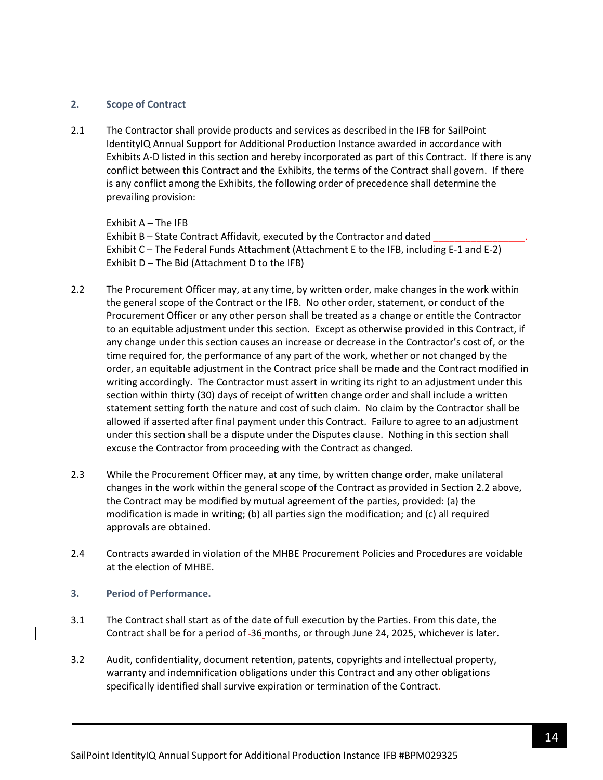#### **2. Scope of Contract**

2.1 The Contractor shall provide products and services as described in the IFB for SailPoint IdentityIQ Annual Support for Additional Production Instance awarded in accordance with Exhibits A-D listed in this section and hereby incorporated as part of this Contract. If there is any conflict between this Contract and the Exhibits, the terms of the Contract shall govern. If there is any conflict among the Exhibits, the following order of precedence shall determine the prevailing provision:

Exhibit A – The IFB

Exhibit B – State Contract Affidavit, executed by the Contractor and dated Exhibit C – The Federal Funds Attachment (Attachment E to the IFB, including E-1 and E-2) Exhibit D – The Bid (Attachment D to the IFB)

- 2.2 The Procurement Officer may, at any time, by written order, make changes in the work within the general scope of the Contract or the IFB. No other order, statement, or conduct of the Procurement Officer or any other person shall be treated as a change or entitle the Contractor to an equitable adjustment under this section. Except as otherwise provided in this Contract, if any change under this section causes an increase or decrease in the Contractor's cost of, or the time required for, the performance of any part of the work, whether or not changed by the order, an equitable adjustment in the Contract price shall be made and the Contract modified in writing accordingly. The Contractor must assert in writing its right to an adjustment under this section within thirty (30) days of receipt of written change order and shall include a written statement setting forth the nature and cost of such claim. No claim by the Contractor shall be allowed if asserted after final payment under this Contract. Failure to agree to an adjustment under this section shall be a dispute under the Disputes clause. Nothing in this section shall excuse the Contractor from proceeding with the Contract as changed.
- 2.3 While the Procurement Officer may, at any time, by written change order, make unilateral changes in the work within the general scope of the Contract as provided in Section 2.2 above, the Contract may be modified by mutual agreement of the parties, provided: (a) the modification is made in writing; (b) all parties sign the modification; and (c) all required approvals are obtained.
- 2.4 Contracts awarded in violation of the MHBE Procurement Policies and Procedures are voidable at the election of MHBE.
- **3. Period of Performance.**
- 3.1 The Contract shall start as of the date of full execution by the Parties. From this date, the Contract shall be for a period of 36 months, or through June 24, 2025, whichever is later.
- 3.2 Audit, confidentiality, document retention, patents, copyrights and intellectual property, warranty and indemnification obligations under this Contract and any other obligations specifically identified shall survive expiration or termination of the Contract.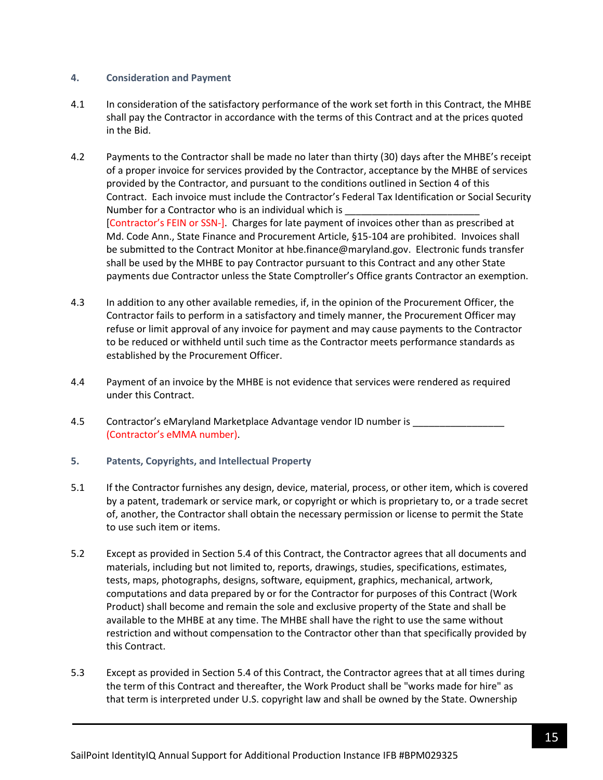### **4. Consideration and Payment**

- 4.1 In consideration of the satisfactory performance of the work set forth in this Contract, the MHBE shall pay the Contractor in accordance with the terms of this Contract and at the prices quoted in the Bid.
- 4.2 Payments to the Contractor shall be made no later than thirty (30) days after the MHBE's receipt of a proper invoice for services provided by the Contractor, acceptance by the MHBE of services provided by the Contractor, and pursuant to the conditions outlined in Section 4 of this Contract. Each invoice must include the Contractor's Federal Tax Identification or Social Security Number for a Contractor who is an individual which is [Contractor's FEIN or SSN-]. Charges for late payment of invoices other than as prescribed at Md. Code Ann., State Finance and Procurement Article, §15-104 are prohibited. Invoices shall be submitted to the Contract Monitor at hbe.finance@maryland.gov. Electronic funds transfer shall be used by the MHBE to pay Contractor pursuant to this Contract and any other State payments due Contractor unless the State Comptroller's Office grants Contractor an exemption.
- 4.3 In addition to any other available remedies, if, in the opinion of the Procurement Officer, the Contractor fails to perform in a satisfactory and timely manner, the Procurement Officer may refuse or limit approval of any invoice for payment and may cause payments to the Contractor to be reduced or withheld until such time as the Contractor meets performance standards as established by the Procurement Officer.
- 4.4 Payment of an invoice by the MHBE is not evidence that services were rendered as required under this Contract.
- 4.5 Contractor's eMaryland Marketplace Advantage vendor ID number is (Contractor's eMMA number).
- **5. Patents, Copyrights, and Intellectual Property**
- 5.1 If the Contractor furnishes any design, device, material, process, or other item, which is covered by a patent, trademark or service mark, or copyright or which is proprietary to, or a trade secret of, another, the Contractor shall obtain the necessary permission or license to permit the State to use such item or items.
- 5.2 Except as provided in Section 5.4 of this Contract, the Contractor agrees that all documents and materials, including but not limited to, reports, drawings, studies, specifications, estimates, tests, maps, photographs, designs, software, equipment, graphics, mechanical, artwork, computations and data prepared by or for the Contractor for purposes of this Contract (Work Product) shall become and remain the sole and exclusive property of the State and shall be available to the MHBE at any time. The MHBE shall have the right to use the same without restriction and without compensation to the Contractor other than that specifically provided by this Contract.
- 5.3 Except as provided in Section 5.4 of this Contract, the Contractor agrees that at all times during the term of this Contract and thereafter, the Work Product shall be "works made for hire" as that term is interpreted under U.S. copyright law and shall be owned by the State. Ownership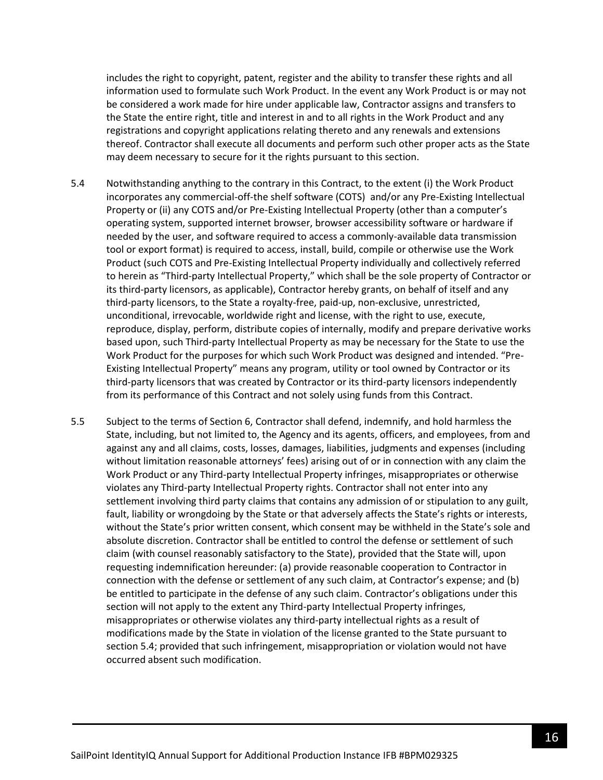includes the right to copyright, patent, register and the ability to transfer these rights and all information used to formulate such Work Product. In the event any Work Product is or may not be considered a work made for hire under applicable law, Contractor assigns and transfers to the State the entire right, title and interest in and to all rights in the Work Product and any registrations and copyright applications relating thereto and any renewals and extensions thereof. Contractor shall execute all documents and perform such other proper acts as the State may deem necessary to secure for it the rights pursuant to this section.

- 5.4 Notwithstanding anything to the contrary in this Contract, to the extent (i) the Work Product incorporates any commercial-off-the shelf software (COTS) and/or any Pre-Existing Intellectual Property or (ii) any COTS and/or Pre-Existing Intellectual Property (other than a computer's operating system, supported internet browser, browser accessibility software or hardware if needed by the user, and software required to access a commonly-available data transmission tool or export format) is required to access, install, build, compile or otherwise use the Work Product (such COTS and Pre-Existing Intellectual Property individually and collectively referred to herein as "Third-party Intellectual Property," which shall be the sole property of Contractor or its third-party licensors, as applicable), Contractor hereby grants, on behalf of itself and any third-party licensors, to the State a royalty-free, paid-up, non-exclusive, unrestricted, unconditional, irrevocable, worldwide right and license, with the right to use, execute, reproduce, display, perform, distribute copies of internally, modify and prepare derivative works based upon, such Third-party Intellectual Property as may be necessary for the State to use the Work Product for the purposes for which such Work Product was designed and intended. "Pre-Existing Intellectual Property" means any program, utility or tool owned by Contractor or its third-party licensors that was created by Contractor or its third-party licensors independently from its performance of this Contract and not solely using funds from this Contract.
- 5.5 Subject to the terms of Section 6, Contractor shall defend, indemnify, and hold harmless the State, including, but not limited to, the Agency and its agents, officers, and employees, from and against any and all claims, costs, losses, damages, liabilities, judgments and expenses (including without limitation reasonable attorneys' fees) arising out of or in connection with any claim the Work Product or any Third-party Intellectual Property infringes, misappropriates or otherwise violates any Third-party Intellectual Property rights. Contractor shall not enter into any settlement involving third party claims that contains any admission of or stipulation to any guilt, fault, liability or wrongdoing by the State or that adversely affects the State's rights or interests, without the State's prior written consent, which consent may be withheld in the State's sole and absolute discretion. Contractor shall be entitled to control the defense or settlement of such claim (with counsel reasonably satisfactory to the State), provided that the State will, upon requesting indemnification hereunder: (a) provide reasonable cooperation to Contractor in connection with the defense or settlement of any such claim, at Contractor's expense; and (b) be entitled to participate in the defense of any such claim. Contractor's obligations under this section will not apply to the extent any Third-party Intellectual Property infringes, misappropriates or otherwise violates any third-party intellectual rights as a result of modifications made by the State in violation of the license granted to the State pursuant to section 5.4; provided that such infringement, misappropriation or violation would not have occurred absent such modification.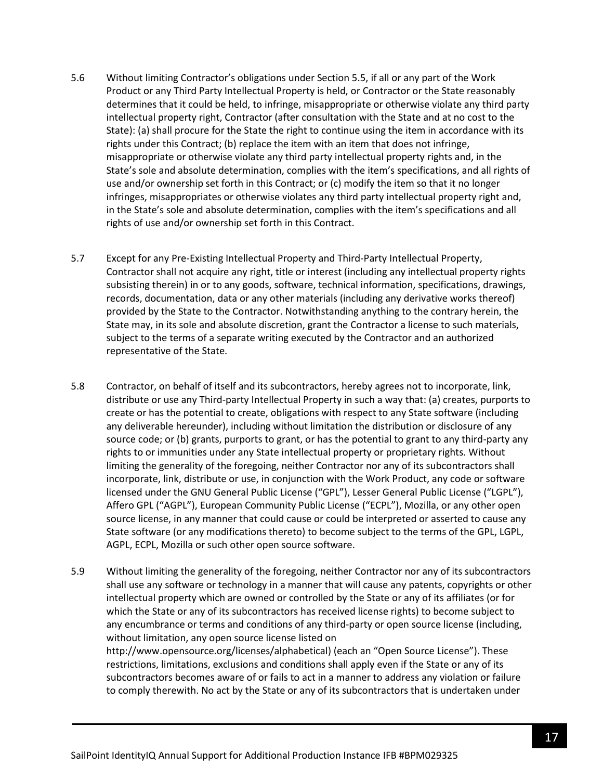- 5.6 Without limiting Contractor's obligations under Section 5.5, if all or any part of the Work Product or any Third Party Intellectual Property is held, or Contractor or the State reasonably determines that it could be held, to infringe, misappropriate or otherwise violate any third party intellectual property right, Contractor (after consultation with the State and at no cost to the State): (a) shall procure for the State the right to continue using the item in accordance with its rights under this Contract; (b) replace the item with an item that does not infringe, misappropriate or otherwise violate any third party intellectual property rights and, in the State's sole and absolute determination, complies with the item's specifications, and all rights of use and/or ownership set forth in this Contract; or (c) modify the item so that it no longer infringes, misappropriates or otherwise violates any third party intellectual property right and, in the State's sole and absolute determination, complies with the item's specifications and all rights of use and/or ownership set forth in this Contract.
- 5.7 Except for any Pre-Existing Intellectual Property and Third-Party Intellectual Property, Contractor shall not acquire any right, title or interest (including any intellectual property rights subsisting therein) in or to any goods, software, technical information, specifications, drawings, records, documentation, data or any other materials (including any derivative works thereof) provided by the State to the Contractor. Notwithstanding anything to the contrary herein, the State may, in its sole and absolute discretion, grant the Contractor a license to such materials, subject to the terms of a separate writing executed by the Contractor and an authorized representative of the State.
- 5.8 Contractor, on behalf of itself and its subcontractors, hereby agrees not to incorporate, link, distribute or use any Third-party Intellectual Property in such a way that: (a) creates, purports to create or has the potential to create, obligations with respect to any State software (including any deliverable hereunder), including without limitation the distribution or disclosure of any source code; or (b) grants, purports to grant, or has the potential to grant to any third-party any rights to or immunities under any State intellectual property or proprietary rights. Without limiting the generality of the foregoing, neither Contractor nor any of its subcontractors shall incorporate, link, distribute or use, in conjunction with the Work Product, any code or software licensed under the GNU General Public License ("GPL"), Lesser General Public License ("LGPL"), Affero GPL ("AGPL"), European Community Public License ("ECPL"), Mozilla, or any other open source license, in any manner that could cause or could be interpreted or asserted to cause any State software (or any modifications thereto) to become subject to the terms of the GPL, LGPL, AGPL, ECPL, Mozilla or such other open source software.
- 5.9 Without limiting the generality of the foregoing, neither Contractor nor any of its subcontractors shall use any software or technology in a manner that will cause any patents, copyrights or other intellectual property which are owned or controlled by the State or any of its affiliates (or for which the State or any of its subcontractors has received license rights) to become subject to any encumbrance or terms and conditions of any third-party or open source license (including, without limitation, any open source license listed on http://www.opensource.org/licenses/alphabetical) (each an "Open Source License"). These restrictions, limitations, exclusions and conditions shall apply even if the State or any of its subcontractors becomes aware of or fails to act in a manner to address any violation or failure to comply therewith. No act by the State or any of its subcontractors that is undertaken under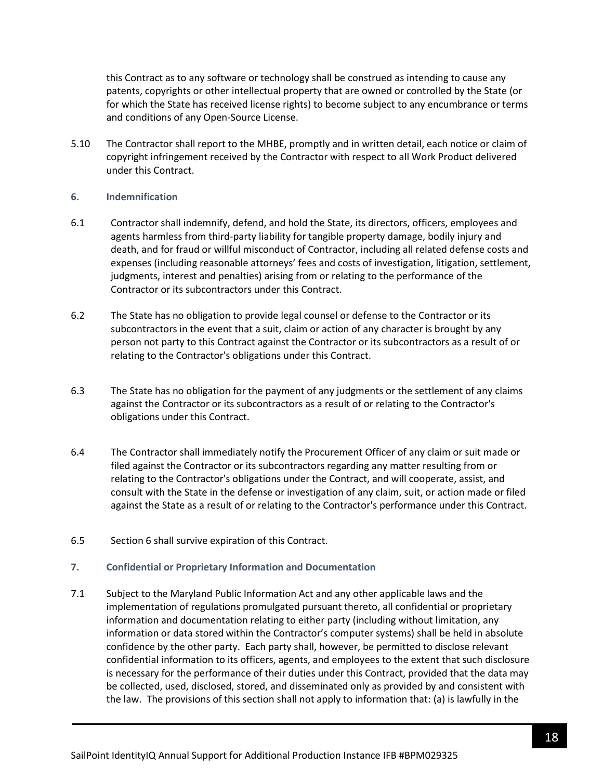this Contract as to any software or technology shall be construed as intending to cause any patents, copyrights or other intellectual property that are owned or controlled by the State (or for which the State has received license rights) to become subject to any encumbrance or terms and conditions of any Open-Source License.

5.10 The Contractor shall report to the MHBE, promptly and in written detail, each notice or claim of copyright infringement received by the Contractor with respect to all Work Product delivered under this Contract.

#### **6. Indemnification**

- 6.1 Contractor shall indemnify, defend, and hold the State, its directors, officers, employees and agents harmless from third-party liability for tangible property damage, bodily injury and death, and for fraud or willful misconduct of Contractor, including all related defense costs and expenses (including reasonable attorneys' fees and costs of investigation, litigation, settlement, judgments, interest and penalties) arising from or relating to the performance of the Contractor or its subcontractors under this Contract.
- 6.2 The State has no obligation to provide legal counsel or defense to the Contractor or its subcontractors in the event that a suit, claim or action of any character is brought by any person not party to this Contract against the Contractor or its subcontractors as a result of or relating to the Contractor's obligations under this Contract.
- 6.3 The State has no obligation for the payment of any judgments or the settlement of any claims against the Contractor or its subcontractors as a result of or relating to the Contractor's obligations under this Contract.
- 6.4 The Contractor shall immediately notify the Procurement Officer of any claim or suit made or filed against the Contractor or its subcontractors regarding any matter resulting from or relating to the Contractor's obligations under the Contract, and will cooperate, assist, and consult with the State in the defense or investigation of any claim, suit, or action made or filed against the State as a result of or relating to the Contractor's performance under this Contract.
- 6.5 Section 6 shall survive expiration of this Contract.
- **7. Confidential or Proprietary Information and Documentation**
- 7.1 Subject to the Maryland Public Information Act and any other applicable laws and the implementation of regulations promulgated pursuant thereto, all confidential or proprietary information and documentation relating to either party (including without limitation, any information or data stored within the Contractor's computer systems) shall be held in absolute confidence by the other party. Each party shall, however, be permitted to disclose relevant confidential information to its officers, agents, and employees to the extent that such disclosure is necessary for the performance of their duties under this Contract, provided that the data may be collected, used, disclosed, stored, and disseminated only as provided by and consistent with the law. The provisions of this section shall not apply to information that: (a) is lawfully in the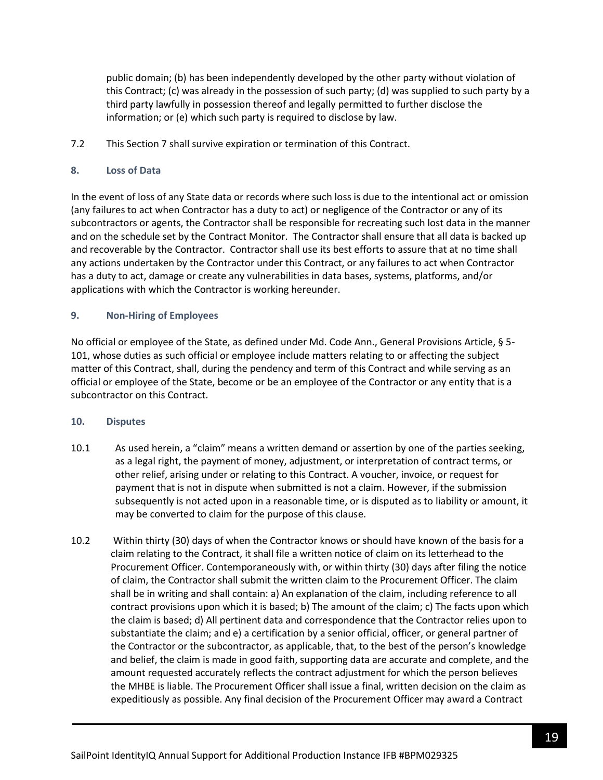public domain; (b) has been independently developed by the other party without violation of this Contract; (c) was already in the possession of such party; (d) was supplied to such party by a third party lawfully in possession thereof and legally permitted to further disclose the information; or (e) which such party is required to disclose by law.

7.2 This Section 7 shall survive expiration or termination of this Contract.

### **8. Loss of Data**

In the event of loss of any State data or records where such loss is due to the intentional act or omission (any failures to act when Contractor has a duty to act) or negligence of the Contractor or any of its subcontractors or agents, the Contractor shall be responsible for recreating such lost data in the manner and on the schedule set by the Contract Monitor. The Contractor shall ensure that all data is backed up and recoverable by the Contractor. Contractor shall use its best efforts to assure that at no time shall any actions undertaken by the Contractor under this Contract, or any failures to act when Contractor has a duty to act, damage or create any vulnerabilities in data bases, systems, platforms, and/or applications with which the Contractor is working hereunder.

### **9. Non-Hiring of Employees**

No official or employee of the State, as defined under Md. Code Ann., General Provisions Article, § 5- 101, whose duties as such official or employee include matters relating to or affecting the subject matter of this Contract, shall, during the pendency and term of this Contract and while serving as an official or employee of the State, become or be an employee of the Contractor or any entity that is a subcontractor on this Contract.

### **10. Disputes**

- 10.1 As used herein, a "claim" means a written demand or assertion by one of the parties seeking, as a legal right, the payment of money, adjustment, or interpretation of contract terms, or other relief, arising under or relating to this Contract. A voucher, invoice, or request for payment that is not in dispute when submitted is not a claim. However, if the submission subsequently is not acted upon in a reasonable time, or is disputed as to liability or amount, it may be converted to claim for the purpose of this clause.
- 10.2 Within thirty (30) days of when the Contractor knows or should have known of the basis for a claim relating to the Contract, it shall file a written notice of claim on its letterhead to the Procurement Officer. Contemporaneously with, or within thirty (30) days after filing the notice of claim, the Contractor shall submit the written claim to the Procurement Officer. The claim shall be in writing and shall contain: a) An explanation of the claim, including reference to all contract provisions upon which it is based; b) The amount of the claim; c) The facts upon which the claim is based; d) All pertinent data and correspondence that the Contractor relies upon to substantiate the claim; and e) a certification by a senior official, officer, or general partner of the Contractor or the subcontractor, as applicable, that, to the best of the person's knowledge and belief, the claim is made in good faith, supporting data are accurate and complete, and the amount requested accurately reflects the contract adjustment for which the person believes the MHBE is liable. The Procurement Officer shall issue a final, written decision on the claim as expeditiously as possible. Any final decision of the Procurement Officer may award a Contract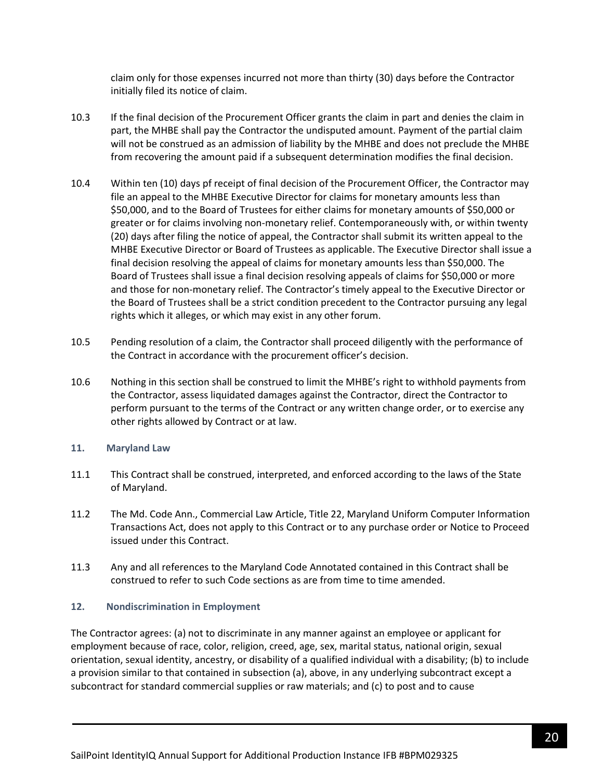claim only for those expenses incurred not more than thirty (30) days before the Contractor initially filed its notice of claim.

- 10.3 If the final decision of the Procurement Officer grants the claim in part and denies the claim in part, the MHBE shall pay the Contractor the undisputed amount. Payment of the partial claim will not be construed as an admission of liability by the MHBE and does not preclude the MHBE from recovering the amount paid if a subsequent determination modifies the final decision.
- 10.4 Within ten (10) days pf receipt of final decision of the Procurement Officer, the Contractor may file an appeal to the MHBE Executive Director for claims for monetary amounts less than \$50,000, and to the Board of Trustees for either claims for monetary amounts of \$50,000 or greater or for claims involving non-monetary relief. Contemporaneously with, or within twenty (20) days after filing the notice of appeal, the Contractor shall submit its written appeal to the MHBE Executive Director or Board of Trustees as applicable. The Executive Director shall issue a final decision resolving the appeal of claims for monetary amounts less than \$50,000. The Board of Trustees shall issue a final decision resolving appeals of claims for \$50,000 or more and those for non-monetary relief. The Contractor's timely appeal to the Executive Director or the Board of Trustees shall be a strict condition precedent to the Contractor pursuing any legal rights which it alleges, or which may exist in any other forum.
- 10.5 Pending resolution of a claim, the Contractor shall proceed diligently with the performance of the Contract in accordance with the procurement officer's decision.
- 10.6 Nothing in this section shall be construed to limit the MHBE's right to withhold payments from the Contractor, assess liquidated damages against the Contractor, direct the Contractor to perform pursuant to the terms of the Contract or any written change order, or to exercise any other rights allowed by Contract or at law.

### **11. Maryland Law**

- 11.1 This Contract shall be construed, interpreted, and enforced according to the laws of the State of Maryland.
- 11.2 The Md. Code Ann., Commercial Law Article, Title 22, Maryland Uniform Computer Information Transactions Act, does not apply to this Contract or to any purchase order or Notice to Proceed issued under this Contract.
- 11.3 Any and all references to the Maryland Code Annotated contained in this Contract shall be construed to refer to such Code sections as are from time to time amended.

### **12. Nondiscrimination in Employment**

The Contractor agrees: (a) not to discriminate in any manner against an employee or applicant for employment because of race, color, religion, creed, age, sex, marital status, national origin, sexual orientation, sexual identity, ancestry, or disability of a qualified individual with a disability; (b) to include a provision similar to that contained in subsection (a), above, in any underlying subcontract except a subcontract for standard commercial supplies or raw materials; and (c) to post and to cause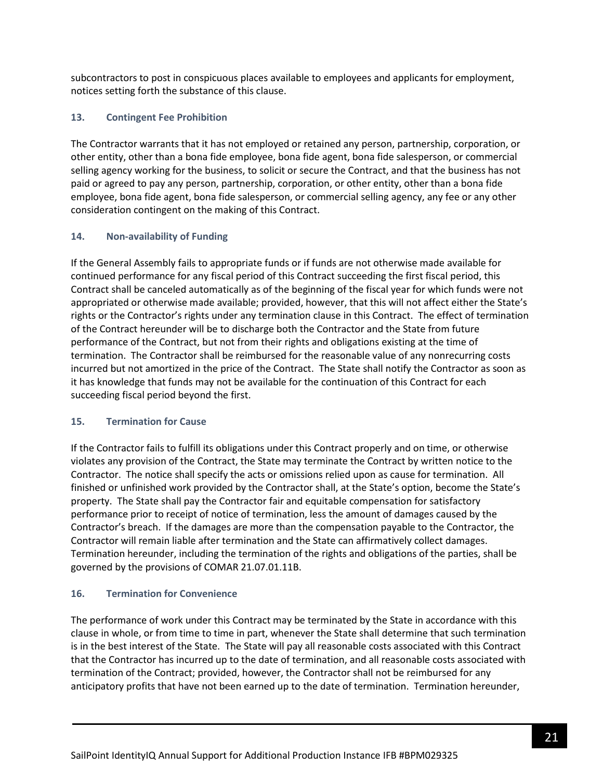subcontractors to post in conspicuous places available to employees and applicants for employment, notices setting forth the substance of this clause.

## **13. Contingent Fee Prohibition**

The Contractor warrants that it has not employed or retained any person, partnership, corporation, or other entity, other than a bona fide employee, bona fide agent, bona fide salesperson, or commercial selling agency working for the business, to solicit or secure the Contract, and that the business has not paid or agreed to pay any person, partnership, corporation, or other entity, other than a bona fide employee, bona fide agent, bona fide salesperson, or commercial selling agency, any fee or any other consideration contingent on the making of this Contract.

### **14. Non-availability of Funding**

If the General Assembly fails to appropriate funds or if funds are not otherwise made available for continued performance for any fiscal period of this Contract succeeding the first fiscal period, this Contract shall be canceled automatically as of the beginning of the fiscal year for which funds were not appropriated or otherwise made available; provided, however, that this will not affect either the State's rights or the Contractor's rights under any termination clause in this Contract. The effect of termination of the Contract hereunder will be to discharge both the Contractor and the State from future performance of the Contract, but not from their rights and obligations existing at the time of termination. The Contractor shall be reimbursed for the reasonable value of any nonrecurring costs incurred but not amortized in the price of the Contract. The State shall notify the Contractor as soon as it has knowledge that funds may not be available for the continuation of this Contract for each succeeding fiscal period beyond the first.

### **15. Termination for Cause**

If the Contractor fails to fulfill its obligations under this Contract properly and on time, or otherwise violates any provision of the Contract, the State may terminate the Contract by written notice to the Contractor. The notice shall specify the acts or omissions relied upon as cause for termination. All finished or unfinished work provided by the Contractor shall, at the State's option, become the State's property. The State shall pay the Contractor fair and equitable compensation for satisfactory performance prior to receipt of notice of termination, less the amount of damages caused by the Contractor's breach. If the damages are more than the compensation payable to the Contractor, the Contractor will remain liable after termination and the State can affirmatively collect damages. Termination hereunder, including the termination of the rights and obligations of the parties, shall be governed by the provisions of COMAR 21.07.01.11B.

# **16. Termination for Convenience**

The performance of work under this Contract may be terminated by the State in accordance with this clause in whole, or from time to time in part, whenever the State shall determine that such termination is in the best interest of the State. The State will pay all reasonable costs associated with this Contract that the Contractor has incurred up to the date of termination, and all reasonable costs associated with termination of the Contract; provided, however, the Contractor shall not be reimbursed for any anticipatory profits that have not been earned up to the date of termination. Termination hereunder,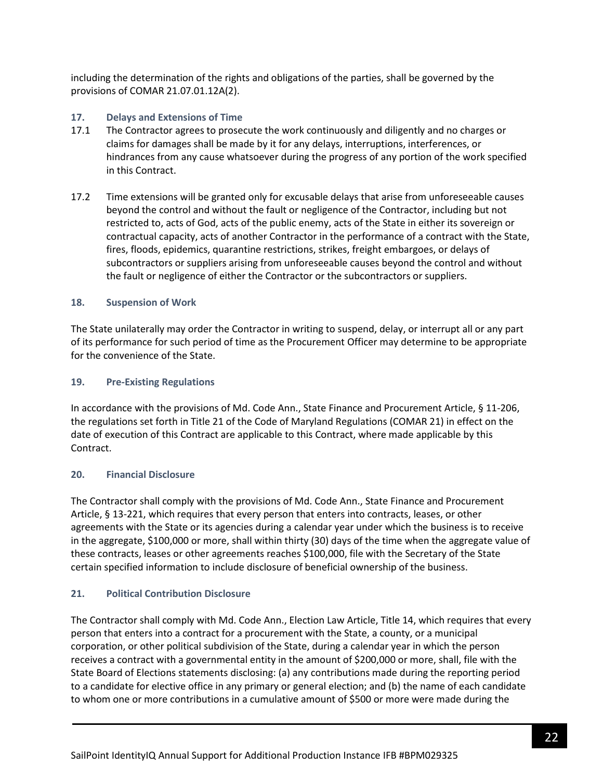including the determination of the rights and obligations of the parties, shall be governed by the provisions of COMAR 21.07.01.12A(2).

### **17. Delays and Extensions of Time**

- 17.1 The Contractor agrees to prosecute the work continuously and diligently and no charges or claims for damages shall be made by it for any delays, interruptions, interferences, or hindrances from any cause whatsoever during the progress of any portion of the work specified in this Contract.
- 17.2 Time extensions will be granted only for excusable delays that arise from unforeseeable causes beyond the control and without the fault or negligence of the Contractor, including but not restricted to, acts of God, acts of the public enemy, acts of the State in either its sovereign or contractual capacity, acts of another Contractor in the performance of a contract with the State, fires, floods, epidemics, quarantine restrictions, strikes, freight embargoes, or delays of subcontractors or suppliers arising from unforeseeable causes beyond the control and without the fault or negligence of either the Contractor or the subcontractors or suppliers.

### **18. Suspension of Work**

The State unilaterally may order the Contractor in writing to suspend, delay, or interrupt all or any part of its performance for such period of time as the Procurement Officer may determine to be appropriate for the convenience of the State.

### **19. Pre-Existing Regulations**

In accordance with the provisions of Md. Code Ann., State Finance and Procurement Article, § 11-206, the regulations set forth in Title 21 of the Code of Maryland Regulations (COMAR 21) in effect on the date of execution of this Contract are applicable to this Contract, where made applicable by this Contract.

### **20. Financial Disclosure**

The Contractor shall comply with the provisions of Md. Code Ann., State Finance and Procurement Article, § 13-221, which requires that every person that enters into contracts, leases, or other agreements with the State or its agencies during a calendar year under which the business is to receive in the aggregate, \$100,000 or more, shall within thirty (30) days of the time when the aggregate value of these contracts, leases or other agreements reaches \$100,000, file with the Secretary of the State certain specified information to include disclosure of beneficial ownership of the business.

# **21. Political Contribution Disclosure**

The Contractor shall comply with Md. Code Ann., Election Law Article, Title 14, which requires that every person that enters into a contract for a procurement with the State, a county, or a municipal corporation, or other political subdivision of the State, during a calendar year in which the person receives a contract with a governmental entity in the amount of \$200,000 or more, shall, file with the State Board of Elections statements disclosing: (a) any contributions made during the reporting period to a candidate for elective office in any primary or general election; and (b) the name of each candidate to whom one or more contributions in a cumulative amount of \$500 or more were made during the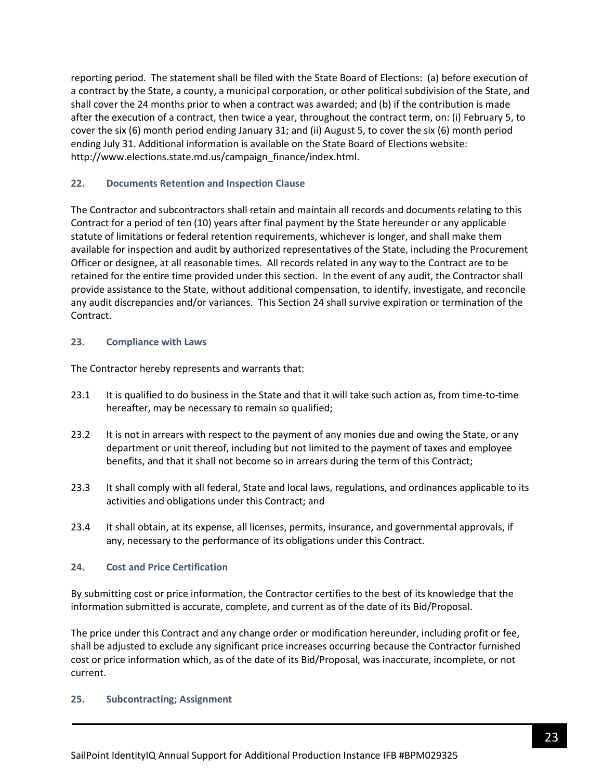reporting period. The statement shall be filed with the State Board of Elections: (a) before execution of a contract by the State, a county, a municipal corporation, or other political subdivision of the State, and shall cover the 24 months prior to when a contract was awarded; and (b) if the contribution is made after the execution of a contract, then twice a year, throughout the contract term, on: (i) February 5, to cover the six (6) month period ending January 31; and (ii) August 5, to cover the six (6) month period ending July 31. Additional information is available on the State Board of Elections website: http://www.elections.state.md.us/campaign\_finance/index.html.

### **22. Documents Retention and Inspection Clause**

The Contractor and subcontractors shall retain and maintain all records and documents relating to this Contract for a period of ten (10) years after final payment by the State hereunder or any applicable statute of limitations or federal retention requirements, whichever is longer, and shall make them available for inspection and audit by authorized representatives of the State, including the Procurement Officer or designee, at all reasonable times. All records related in any way to the Contract are to be retained for the entire time provided under this section. In the event of any audit, the Contractor shall provide assistance to the State, without additional compensation, to identify, investigate, and reconcile any audit discrepancies and/or variances. This Section 24 shall survive expiration or termination of the Contract.

### **23. Compliance with Laws**

The Contractor hereby represents and warrants that:

- 23.1 It is qualified to do business in the State and that it will take such action as, from time-to-time hereafter, may be necessary to remain so qualified;
- 23.2 It is not in arrears with respect to the payment of any monies due and owing the State, or any department or unit thereof, including but not limited to the payment of taxes and employee benefits, and that it shall not become so in arrears during the term of this Contract;
- 23.3 It shall comply with all federal, State and local laws, regulations, and ordinances applicable to its activities and obligations under this Contract; and
- 23.4 It shall obtain, at its expense, all licenses, permits, insurance, and governmental approvals, if any, necessary to the performance of its obligations under this Contract.

### **24. Cost and Price Certification**

By submitting cost or price information, the Contractor certifies to the best of its knowledge that the information submitted is accurate, complete, and current as of the date of its Bid/Proposal.

The price under this Contract and any change order or modification hereunder, including profit or fee, shall be adjusted to exclude any significant price increases occurring because the Contractor furnished cost or price information which, as of the date of its Bid/Proposal, was inaccurate, incomplete, or not current.

### **25. Subcontracting; Assignment**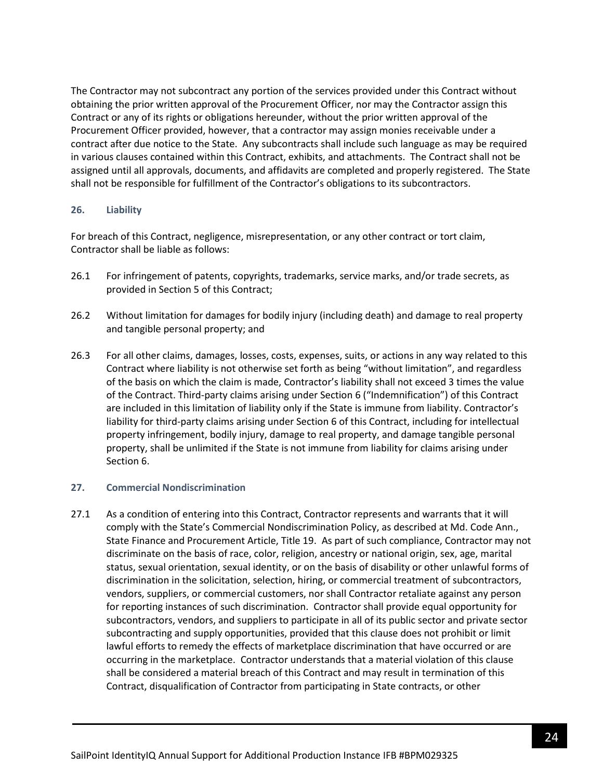The Contractor may not subcontract any portion of the services provided under this Contract without obtaining the prior written approval of the Procurement Officer, nor may the Contractor assign this Contract or any of its rights or obligations hereunder, without the prior written approval of the Procurement Officer provided, however, that a contractor may assign monies receivable under a contract after due notice to the State. Any subcontracts shall include such language as may be required in various clauses contained within this Contract, exhibits, and attachments. The Contract shall not be assigned until all approvals, documents, and affidavits are completed and properly registered. The State shall not be responsible for fulfillment of the Contractor's obligations to its subcontractors.

#### **26. Liability**

For breach of this Contract, negligence, misrepresentation, or any other contract or tort claim, Contractor shall be liable as follows:

- 26.1 For infringement of patents, copyrights, trademarks, service marks, and/or trade secrets, as provided in Section 5 of this Contract;
- 26.2 Without limitation for damages for bodily injury (including death) and damage to real property and tangible personal property; and
- 26.3 For all other claims, damages, losses, costs, expenses, suits, or actions in any way related to this Contract where liability is not otherwise set forth as being "without limitation", and regardless of the basis on which the claim is made, Contractor's liability shall not exceed 3 times the value of the Contract. Third-party claims arising under Section 6 ("Indemnification") of this Contract are included in this limitation of liability only if the State is immune from liability. Contractor's liability for third-party claims arising under Section 6 of this Contract, including for intellectual property infringement, bodily injury, damage to real property, and damage tangible personal property, shall be unlimited if the State is not immune from liability for claims arising under Section 6.

### **27. Commercial Nondiscrimination**

27.1 As a condition of entering into this Contract, Contractor represents and warrants that it will comply with the State's Commercial Nondiscrimination Policy, as described at Md. Code Ann., State Finance and Procurement Article, Title 19. As part of such compliance, Contractor may not discriminate on the basis of race, color, religion, ancestry or national origin, sex, age, marital status, sexual orientation, sexual identity, or on the basis of disability or other unlawful forms of discrimination in the solicitation, selection, hiring, or commercial treatment of subcontractors, vendors, suppliers, or commercial customers, nor shall Contractor retaliate against any person for reporting instances of such discrimination. Contractor shall provide equal opportunity for subcontractors, vendors, and suppliers to participate in all of its public sector and private sector subcontracting and supply opportunities, provided that this clause does not prohibit or limit lawful efforts to remedy the effects of marketplace discrimination that have occurred or are occurring in the marketplace. Contractor understands that a material violation of this clause shall be considered a material breach of this Contract and may result in termination of this Contract, disqualification of Contractor from participating in State contracts, or other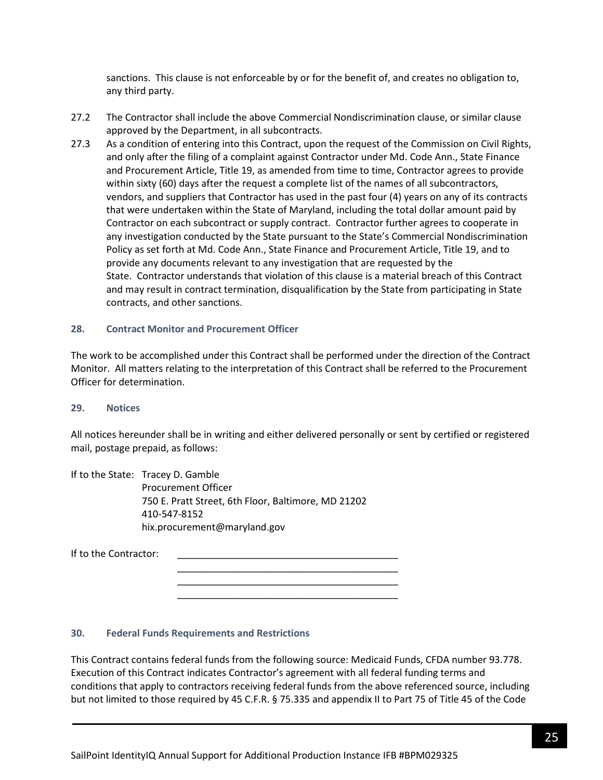sanctions. This clause is not enforceable by or for the benefit of, and creates no obligation to, any third party.

- 27.2 The Contractor shall include the above Commercial Nondiscrimination clause, or similar clause approved by the Department, in all subcontracts.
- 27.3 As a condition of entering into this Contract, upon the request of the Commission on Civil Rights, and only after the filing of a complaint against Contractor under Md. Code Ann., State Finance and Procurement Article, Title 19, as amended from time to time, Contractor agrees to provide within sixty (60) days after the request a complete list of the names of all subcontractors, vendors, and suppliers that Contractor has used in the past four (4) years on any of its contracts that were undertaken within the State of Maryland, including the total dollar amount paid by Contractor on each subcontract or supply contract. Contractor further agrees to cooperate in any investigation conducted by the State pursuant to the State's Commercial Nondiscrimination Policy as set forth at Md. Code Ann., State Finance and Procurement Article, Title 19, and to provide any documents relevant to any investigation that are requested by the State. Contractor understands that violation of this clause is a material breach of this Contract and may result in contract termination, disqualification by the State from participating in State contracts, and other sanctions.

#### **28. Contract Monitor and Procurement Officer**

The work to be accomplished under this Contract shall be performed under the direction of the Contract Monitor. All matters relating to the interpretation of this Contract shall be referred to the Procurement Officer for determination.

#### **29. Notices**

All notices hereunder shall be in writing and either delivered personally or sent by certified or registered mail, postage prepaid, as follows:

If to the State: Tracey D. Gamble Procurement Officer 750 E. Pratt Street, 6th Floor, Baltimore, MD 21202 410-547-8152 hix.procurement@maryland.gov

| If to the Contractor: |  |
|-----------------------|--|
|                       |  |

### **30. Federal Funds Requirements and Restrictions**

This Contract contains federal funds from the following source: Medicaid Funds, CFDA number 93.778. Execution of this Contract indicates Contractor's agreement with all federal funding terms and conditions that apply to contractors receiving federal funds from the above referenced source, including but not limited to those required by 45 C.F.R. § 75.335 and appendix II to Part 75 of Title 45 of the Code

\_\_\_\_\_\_\_\_\_\_\_\_\_\_\_\_\_\_\_\_\_\_\_\_\_\_\_\_\_\_\_\_\_\_\_\_\_\_\_\_\_ \_\_\_\_\_\_\_\_\_\_\_\_\_\_\_\_\_\_\_\_\_\_\_\_\_\_\_\_\_\_\_\_\_\_\_\_\_\_\_\_\_ \_\_\_\_\_\_\_\_\_\_\_\_\_\_\_\_\_\_\_\_\_\_\_\_\_\_\_\_\_\_\_\_\_\_\_\_\_\_\_\_\_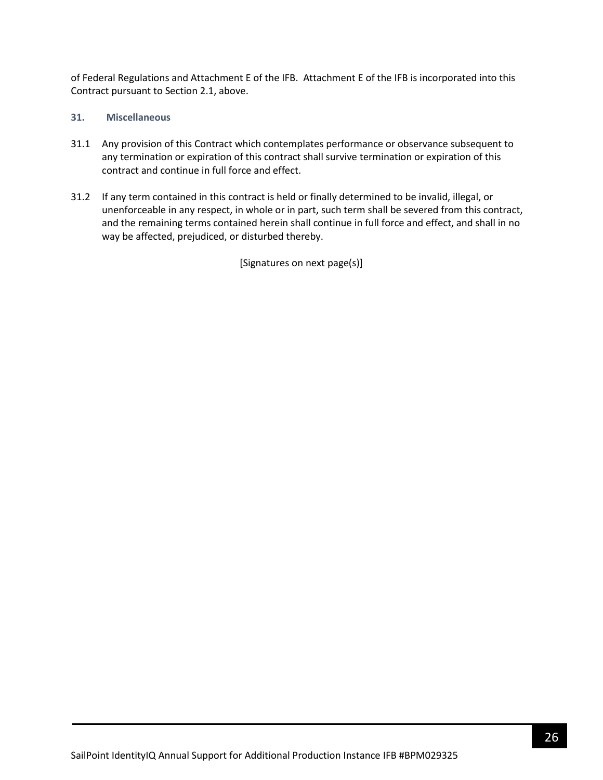of Federal Regulations and Attachment E of the IFB. Attachment E of the IFB is incorporated into this Contract pursuant to Section 2.1, above.

### **31. Miscellaneous**

- 31.1 Any provision of this Contract which contemplates performance or observance subsequent to any termination or expiration of this contract shall survive termination or expiration of this contract and continue in full force and effect.
- 31.2 If any term contained in this contract is held or finally determined to be invalid, illegal, or unenforceable in any respect, in whole or in part, such term shall be severed from this contract, and the remaining terms contained herein shall continue in full force and effect, and shall in no way be affected, prejudiced, or disturbed thereby.

[Signatures on next page(s)]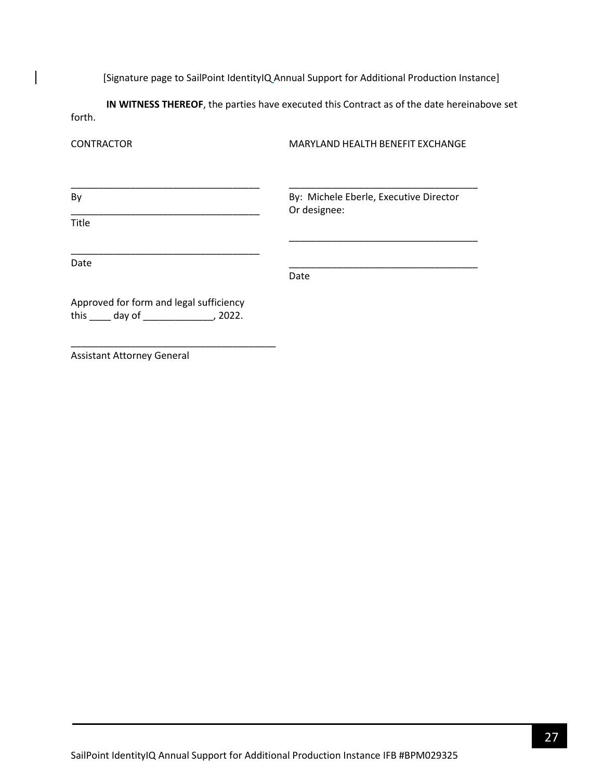[Signature page to SailPoint IdentityIQ Annual Support for Additional Production Instance]

**IN WITNESS THEREOF**, the parties have executed this Contract as of the date hereinabove set forth.

| <b>CONTRACTOR</b>                                                                              | MARYLAND HEALTH BENEFIT EXCHANGE                       |  |  |
|------------------------------------------------------------------------------------------------|--------------------------------------------------------|--|--|
| By                                                                                             | By: Michele Eberle, Executive Director<br>Or designee: |  |  |
| Title                                                                                          |                                                        |  |  |
| Date                                                                                           | Date                                                   |  |  |
| Approved for form and legal sufficiency<br>this $\qquad \qquad$ day of $\qquad \qquad$ , 2022. |                                                        |  |  |
| <b>Assistant Attorney General</b>                                                              |                                                        |  |  |

SailPoint IdentityIQ Annual Support for Additional Production Instance IFB #BPM029325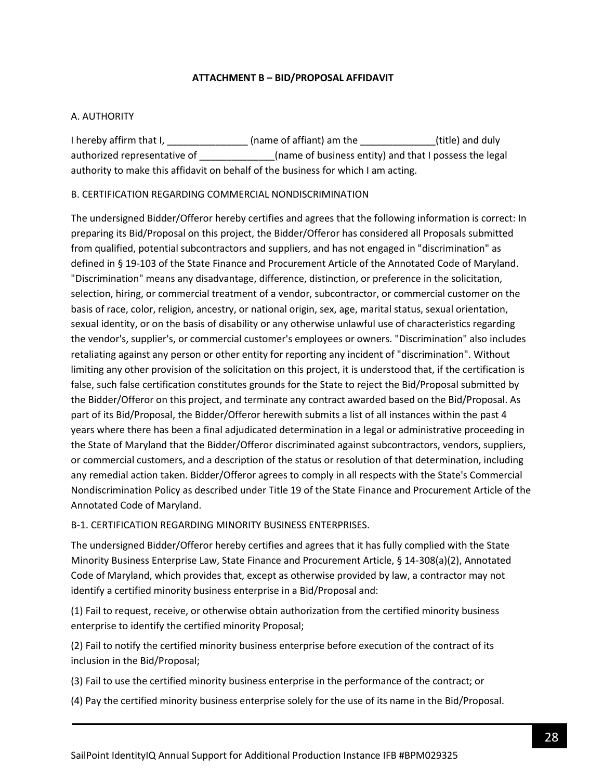### **ATTACHMENT B – BID/PROPOSAL AFFIDAVIT**

### <span id="page-27-0"></span>A. AUTHORITY

I hereby affirm that I, \_\_\_\_\_\_\_\_\_\_\_\_\_\_\_\_\_\_(name of affiant) am the \_\_\_\_\_\_\_\_\_\_\_\_\_\_(title) and duly authorized representative of \_\_\_\_\_\_\_\_\_\_\_\_\_(name of business entity) and that I possess the legal authority to make this affidavit on behalf of the business for which I am acting.

### B. CERTIFICATION REGARDING COMMERCIAL NONDISCRIMINATION

The undersigned Bidder/Offeror hereby certifies and agrees that the following information is correct: In preparing its Bid/Proposal on this project, the Bidder/Offeror has considered all Proposals submitted from qualified, potential subcontractors and suppliers, and has not engaged in "discrimination" as defined in § 19-103 of the State Finance and Procurement Article of the Annotated Code of Maryland. "Discrimination" means any disadvantage, difference, distinction, or preference in the solicitation, selection, hiring, or commercial treatment of a vendor, subcontractor, or commercial customer on the basis of race, color, religion, ancestry, or national origin, sex, age, marital status, sexual orientation, sexual identity, or on the basis of disability or any otherwise unlawful use of characteristics regarding the vendor's, supplier's, or commercial customer's employees or owners. "Discrimination" also includes retaliating against any person or other entity for reporting any incident of "discrimination". Without limiting any other provision of the solicitation on this project, it is understood that, if the certification is false, such false certification constitutes grounds for the State to reject the Bid/Proposal submitted by the Bidder/Offeror on this project, and terminate any contract awarded based on the Bid/Proposal. As part of its Bid/Proposal, the Bidder/Offeror herewith submits a list of all instances within the past 4 years where there has been a final adjudicated determination in a legal or administrative proceeding in the State of Maryland that the Bidder/Offeror discriminated against subcontractors, vendors, suppliers, or commercial customers, and a description of the status or resolution of that determination, including any remedial action taken. Bidder/Offeror agrees to comply in all respects with the State's Commercial Nondiscrimination Policy as described under Title 19 of the State Finance and Procurement Article of the Annotated Code of Maryland.

### B-1. CERTIFICATION REGARDING MINORITY BUSINESS ENTERPRISES.

The undersigned Bidder/Offeror hereby certifies and agrees that it has fully complied with the State Minority Business Enterprise Law, State Finance and Procurement Article, § 14-308(a)(2), Annotated Code of Maryland, which provides that, except as otherwise provided by law, a contractor may not identify a certified minority business enterprise in a Bid/Proposal and:

(1) Fail to request, receive, or otherwise obtain authorization from the certified minority business enterprise to identify the certified minority Proposal;

(2) Fail to notify the certified minority business enterprise before execution of the contract of its inclusion in the Bid/Proposal;

(3) Fail to use the certified minority business enterprise in the performance of the contract; or

(4) Pay the certified minority business enterprise solely for the use of its name in the Bid/Proposal.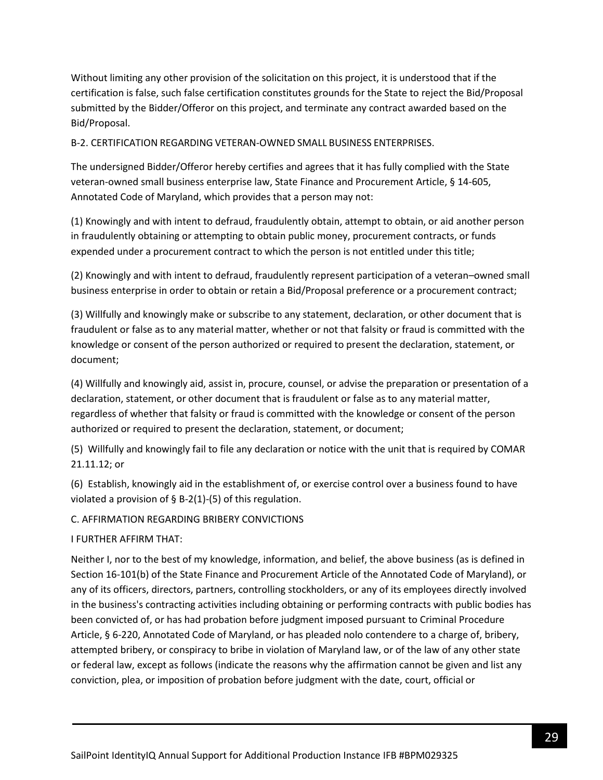Without limiting any other provision of the solicitation on this project, it is understood that if the certification is false, such false certification constitutes grounds for the State to reject the Bid/Proposal submitted by the Bidder/Offeror on this project, and terminate any contract awarded based on the Bid/Proposal.

B-2. CERTIFICATION REGARDING VETERAN-OWNED SMALL BUSINESS ENTERPRISES.

The undersigned Bidder/Offeror hereby certifies and agrees that it has fully complied with the State veteran-owned small business enterprise law, State Finance and Procurement Article, § 14-605, Annotated Code of Maryland, which provides that a person may not:

(1) Knowingly and with intent to defraud, fraudulently obtain, attempt to obtain, or aid another person in fraudulently obtaining or attempting to obtain public money, procurement contracts, or funds expended under a procurement contract to which the person is not entitled under this title;

(2) Knowingly and with intent to defraud, fraudulently represent participation of a veteran–owned small business enterprise in order to obtain or retain a Bid/Proposal preference or a procurement contract;

(3) Willfully and knowingly make or subscribe to any statement, declaration, or other document that is fraudulent or false as to any material matter, whether or not that falsity or fraud is committed with the knowledge or consent of the person authorized or required to present the declaration, statement, or document;

(4) Willfully and knowingly aid, assist in, procure, counsel, or advise the preparation or presentation of a declaration, statement, or other document that is fraudulent or false as to any material matter, regardless of whether that falsity or fraud is committed with the knowledge or consent of the person authorized or required to present the declaration, statement, or document;

(5) Willfully and knowingly fail to file any declaration or notice with the unit that is required by COMAR 21.11.12; or

(6) Establish, knowingly aid in the establishment of, or exercise control over a business found to have violated a provision of  $\S$  B-2(1)-(5) of this regulation.

C. AFFIRMATION REGARDING BRIBERY CONVICTIONS

I FURTHER AFFIRM THAT:

Neither I, nor to the best of my knowledge, information, and belief, the above business (as is defined in Section 16-101(b) of the State Finance and Procurement Article of the Annotated Code of Maryland), or any of its officers, directors, partners, controlling stockholders, or any of its employees directly involved in the business's contracting activities including obtaining or performing contracts with public bodies has been convicted of, or has had probation before judgment imposed pursuant to Criminal Procedure Article, § 6-220, Annotated Code of Maryland, or has pleaded nolo contendere to a charge of, bribery, attempted bribery, or conspiracy to bribe in violation of Maryland law, or of the law of any other state or federal law, except as follows (indicate the reasons why the affirmation cannot be given and list any conviction, plea, or imposition of probation before judgment with the date, court, official or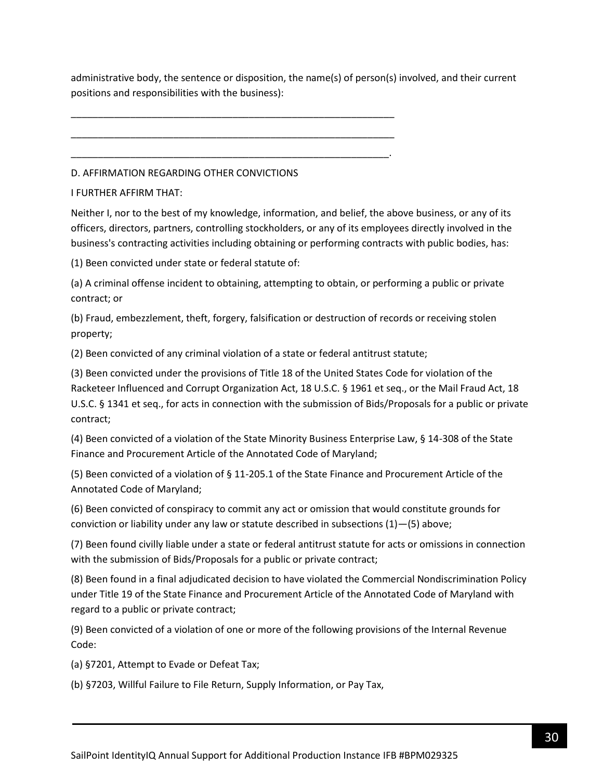administrative body, the sentence or disposition, the name(s) of person(s) involved, and their current positions and responsibilities with the business):

D. AFFIRMATION REGARDING OTHER CONVICTIONS

\_\_\_\_\_\_\_\_\_\_\_\_\_\_\_\_\_\_\_\_\_\_\_\_\_\_\_\_\_\_\_\_\_\_\_\_\_\_\_\_\_\_\_\_\_\_\_\_\_\_\_\_\_\_\_\_\_\_\_\_

\_\_\_\_\_\_\_\_\_\_\_\_\_\_\_\_\_\_\_\_\_\_\_\_\_\_\_\_\_\_\_\_\_\_\_\_\_\_\_\_\_\_\_\_\_\_\_\_\_\_\_\_\_\_\_\_\_\_\_\_

\_\_\_\_\_\_\_\_\_\_\_\_\_\_\_\_\_\_\_\_\_\_\_\_\_\_\_\_\_\_\_\_\_\_\_\_\_\_\_\_\_\_\_\_\_\_\_\_\_\_\_\_\_\_\_\_\_\_\_.

I FURTHER AFFIRM THAT:

Neither I, nor to the best of my knowledge, information, and belief, the above business, or any of its officers, directors, partners, controlling stockholders, or any of its employees directly involved in the business's contracting activities including obtaining or performing contracts with public bodies, has:

(1) Been convicted under state or federal statute of:

(a) A criminal offense incident to obtaining, attempting to obtain, or performing a public or private contract; or

(b) Fraud, embezzlement, theft, forgery, falsification or destruction of records or receiving stolen property;

(2) Been convicted of any criminal violation of a state or federal antitrust statute;

(3) Been convicted under the provisions of Title 18 of the United States Code for violation of the Racketeer Influenced and Corrupt Organization Act, 18 U.S.C. § 1961 et seq., or the Mail Fraud Act, 18 U.S.C. § 1341 et seq., for acts in connection with the submission of Bids/Proposals for a public or private contract;

(4) Been convicted of a violation of the State Minority Business Enterprise Law, § 14-308 of the State Finance and Procurement Article of the Annotated Code of Maryland;

(5) Been convicted of a violation of § 11-205.1 of the State Finance and Procurement Article of the Annotated Code of Maryland;

(6) Been convicted of conspiracy to commit any act or omission that would constitute grounds for conviction or liability under any law or statute described in subsections (1)—(5) above;

(7) Been found civilly liable under a state or federal antitrust statute for acts or omissions in connection with the submission of Bids/Proposals for a public or private contract;

(8) Been found in a final adjudicated decision to have violated the Commercial Nondiscrimination Policy under Title 19 of the State Finance and Procurement Article of the Annotated Code of Maryland with regard to a public or private contract;

(9) Been convicted of a violation of one or more of the following provisions of the Internal Revenue Code:

(a) §7201, Attempt to Evade or Defeat Tax;

(b) §7203, Willful Failure to File Return, Supply Information, or Pay Tax,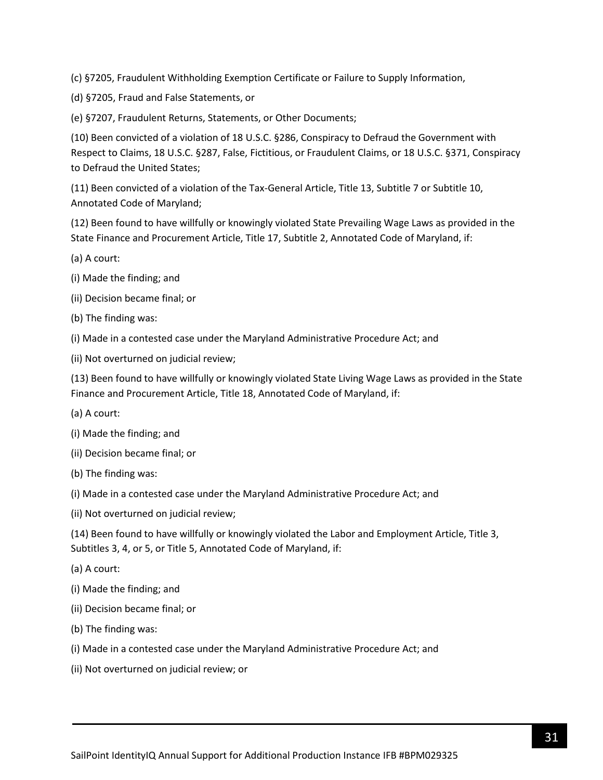(c) §7205, Fraudulent Withholding Exemption Certificate or Failure to Supply Information,

(d) §7205, Fraud and False Statements, or

(e) §7207, Fraudulent Returns, Statements, or Other Documents;

(10) Been convicted of a violation of 18 U.S.C. §286, Conspiracy to Defraud the Government with Respect to Claims, 18 U.S.C. §287, False, Fictitious, or Fraudulent Claims, or 18 U.S.C. §371, Conspiracy to Defraud the United States;

(11) Been convicted of a violation of the Tax-General Article, Title 13, Subtitle 7 or Subtitle 10, Annotated Code of Maryland;

(12) Been found to have willfully or knowingly violated State Prevailing Wage Laws as provided in the State Finance and Procurement Article, Title 17, Subtitle 2, Annotated Code of Maryland, if:

- (a) A court:
- (i) Made the finding; and
- (ii) Decision became final; or
- (b) The finding was:
- (i) Made in a contested case under the Maryland Administrative Procedure Act; and
- (ii) Not overturned on judicial review;

(13) Been found to have willfully or knowingly violated State Living Wage Laws as provided in the State Finance and Procurement Article, Title 18, Annotated Code of Maryland, if:

- (a) A court:
- (i) Made the finding; and
- (ii) Decision became final; or
- (b) The finding was:
- (i) Made in a contested case under the Maryland Administrative Procedure Act; and
- (ii) Not overturned on judicial review;

(14) Been found to have willfully or knowingly violated the Labor and Employment Article, Title 3, Subtitles 3, 4, or 5, or Title 5, Annotated Code of Maryland, if:

- (a) A court:
- (i) Made the finding; and
- (ii) Decision became final; or
- (b) The finding was:
- (i) Made in a contested case under the Maryland Administrative Procedure Act; and
- (ii) Not overturned on judicial review; or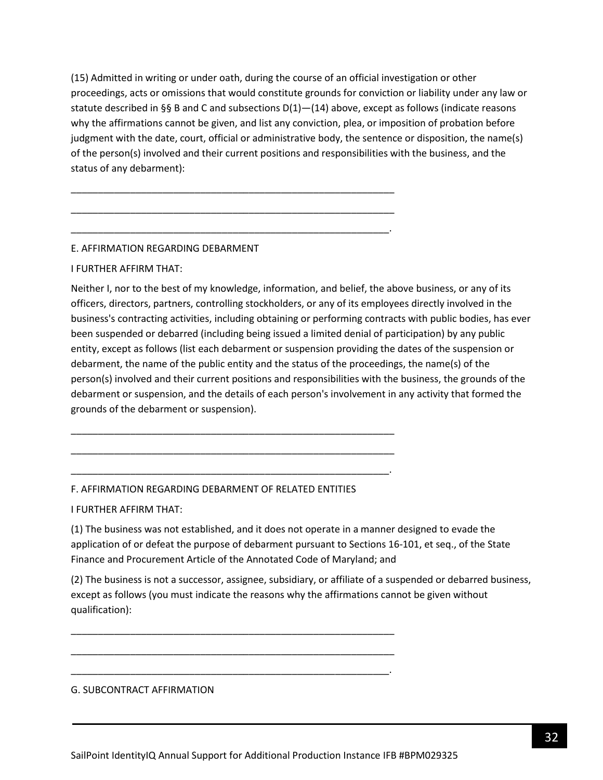(15) Admitted in writing or under oath, during the course of an official investigation or other proceedings, acts or omissions that would constitute grounds for conviction or liability under any law or statute described in §§ B and C and subsections  $D(1)$ — $(14)$  above, except as follows (indicate reasons why the affirmations cannot be given, and list any conviction, plea, or imposition of probation before judgment with the date, court, official or administrative body, the sentence or disposition, the name(s) of the person(s) involved and their current positions and responsibilities with the business, and the status of any debarment):

\_\_\_\_\_\_\_\_\_\_\_\_\_\_\_\_\_\_\_\_\_\_\_\_\_\_\_\_\_\_\_\_\_\_\_\_\_\_\_\_\_\_\_\_\_\_\_\_\_\_\_\_\_\_\_\_\_\_\_\_

\_\_\_\_\_\_\_\_\_\_\_\_\_\_\_\_\_\_\_\_\_\_\_\_\_\_\_\_\_\_\_\_\_\_\_\_\_\_\_\_\_\_\_\_\_\_\_\_\_\_\_\_\_\_\_\_\_\_\_\_

\_\_\_\_\_\_\_\_\_\_\_\_\_\_\_\_\_\_\_\_\_\_\_\_\_\_\_\_\_\_\_\_\_\_\_\_\_\_\_\_\_\_\_\_\_\_\_\_\_\_\_\_\_\_\_\_\_\_\_.

### E. AFFIRMATION REGARDING DEBARMENT

### I FURTHER AFFIRM THAT:

Neither I, nor to the best of my knowledge, information, and belief, the above business, or any of its officers, directors, partners, controlling stockholders, or any of its employees directly involved in the business's contracting activities, including obtaining or performing contracts with public bodies, has ever been suspended or debarred (including being issued a limited denial of participation) by any public entity, except as follows (list each debarment or suspension providing the dates of the suspension or debarment, the name of the public entity and the status of the proceedings, the name(s) of the person(s) involved and their current positions and responsibilities with the business, the grounds of the debarment or suspension, and the details of each person's involvement in any activity that formed the grounds of the debarment or suspension).

### F. AFFIRMATION REGARDING DEBARMENT OF RELATED ENTITIES

\_\_\_\_\_\_\_\_\_\_\_\_\_\_\_\_\_\_\_\_\_\_\_\_\_\_\_\_\_\_\_\_\_\_\_\_\_\_\_\_\_\_\_\_\_\_\_\_\_\_\_\_\_\_\_\_\_\_\_\_

\_\_\_\_\_\_\_\_\_\_\_\_\_\_\_\_\_\_\_\_\_\_\_\_\_\_\_\_\_\_\_\_\_\_\_\_\_\_\_\_\_\_\_\_\_\_\_\_\_\_\_\_\_\_\_\_\_\_\_\_

\_\_\_\_\_\_\_\_\_\_\_\_\_\_\_\_\_\_\_\_\_\_\_\_\_\_\_\_\_\_\_\_\_\_\_\_\_\_\_\_\_\_\_\_\_\_\_\_\_\_\_\_\_\_\_\_\_\_\_.

\_\_\_\_\_\_\_\_\_\_\_\_\_\_\_\_\_\_\_\_\_\_\_\_\_\_\_\_\_\_\_\_\_\_\_\_\_\_\_\_\_\_\_\_\_\_\_\_\_\_\_\_\_\_\_\_\_\_\_\_

\_\_\_\_\_\_\_\_\_\_\_\_\_\_\_\_\_\_\_\_\_\_\_\_\_\_\_\_\_\_\_\_\_\_\_\_\_\_\_\_\_\_\_\_\_\_\_\_\_\_\_\_\_\_\_\_\_\_\_\_

\_\_\_\_\_\_\_\_\_\_\_\_\_\_\_\_\_\_\_\_\_\_\_\_\_\_\_\_\_\_\_\_\_\_\_\_\_\_\_\_\_\_\_\_\_\_\_\_\_\_\_\_\_\_\_\_\_\_\_.

I FURTHER AFFIRM THAT:

(1) The business was not established, and it does not operate in a manner designed to evade the application of or defeat the purpose of debarment pursuant to Sections 16-101, et seq., of the State Finance and Procurement Article of the Annotated Code of Maryland; and

(2) The business is not a successor, assignee, subsidiary, or affiliate of a suspended or debarred business, except as follows (you must indicate the reasons why the affirmations cannot be given without qualification):

#### G. SUBCONTRACT AFFIRMATION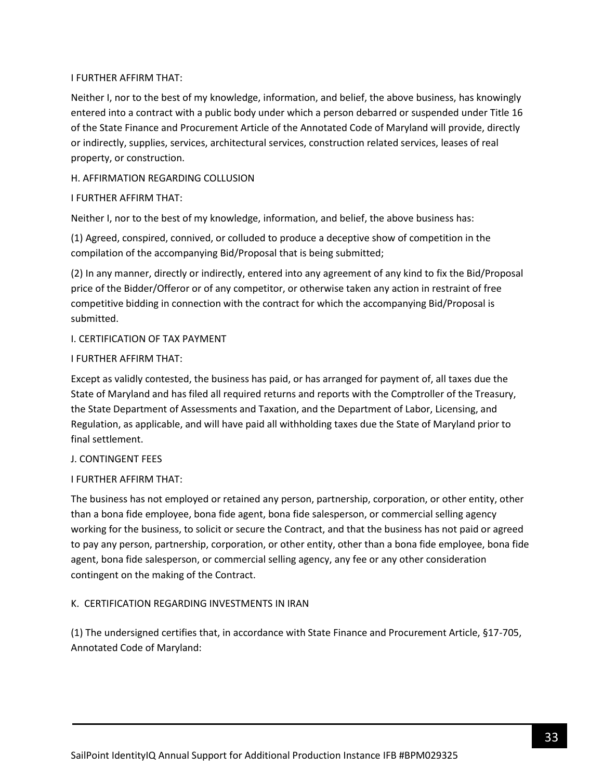### I FURTHER AFFIRM THAT:

Neither I, nor to the best of my knowledge, information, and belief, the above business, has knowingly entered into a contract with a public body under which a person debarred or suspended under Title 16 of the State Finance and Procurement Article of the Annotated Code of Maryland will provide, directly or indirectly, supplies, services, architectural services, construction related services, leases of real property, or construction.

## H. AFFIRMATION REGARDING COLLUSION

### I FURTHER AFFIRM THAT:

Neither I, nor to the best of my knowledge, information, and belief, the above business has:

(1) Agreed, conspired, connived, or colluded to produce a deceptive show of competition in the compilation of the accompanying Bid/Proposal that is being submitted;

(2) In any manner, directly or indirectly, entered into any agreement of any kind to fix the Bid/Proposal price of the Bidder/Offeror or of any competitor, or otherwise taken any action in restraint of free competitive bidding in connection with the contract for which the accompanying Bid/Proposal is submitted.

### I. CERTIFICATION OF TAX PAYMENT

### I FURTHER AFFIRM THAT:

Except as validly contested, the business has paid, or has arranged for payment of, all taxes due the State of Maryland and has filed all required returns and reports with the Comptroller of the Treasury, the State Department of Assessments and Taxation, and the Department of Labor, Licensing, and Regulation, as applicable, and will have paid all withholding taxes due the State of Maryland prior to final settlement.

### J. CONTINGENT FEES

# I FURTHER AFFIRM THAT:

The business has not employed or retained any person, partnership, corporation, or other entity, other than a bona fide employee, bona fide agent, bona fide salesperson, or commercial selling agency working for the business, to solicit or secure the Contract, and that the business has not paid or agreed to pay any person, partnership, corporation, or other entity, other than a bona fide employee, bona fide agent, bona fide salesperson, or commercial selling agency, any fee or any other consideration contingent on the making of the Contract.

# K. CERTIFICATION REGARDING INVESTMENTS IN IRAN

(1) The undersigned certifies that, in accordance with State Finance and Procurement Article, §17-705, Annotated Code of Maryland: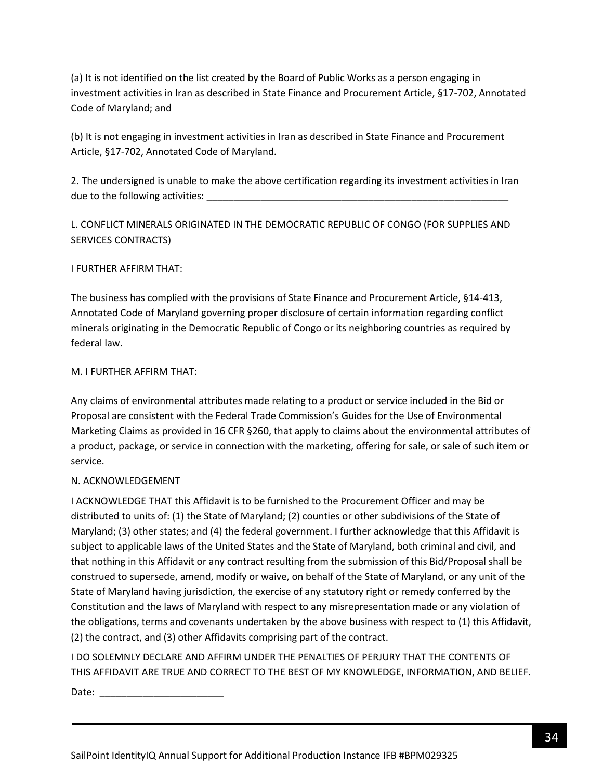(a) It is not identified on the list created by the Board of Public Works as a person engaging in investment activities in Iran as described in State Finance and Procurement Article, §17-702, Annotated Code of Maryland; and

(b) It is not engaging in investment activities in Iran as described in State Finance and Procurement Article, §17-702, Annotated Code of Maryland.

2. The undersigned is unable to make the above certification regarding its investment activities in Iran due to the following activities:

L. CONFLICT MINERALS ORIGINATED IN THE DEMOCRATIC REPUBLIC OF CONGO (FOR SUPPLIES AND SERVICES CONTRACTS)

# I FURTHER AFFIRM THAT:

The business has complied with the provisions of State Finance and Procurement Article, §14-413, Annotated Code of Maryland governing proper disclosure of certain information regarding conflict minerals originating in the Democratic Republic of Congo or its neighboring countries as required by federal law.

### M. I FURTHER AFFIRM THAT:

Any claims of environmental attributes made relating to a product or service included in the Bid or Proposal are consistent with the Federal Trade Commission's Guides for the Use of Environmental Marketing Claims as provided in 16 CFR §260, that apply to claims about the environmental attributes of a product, package, or service in connection with the marketing, offering for sale, or sale of such item or service.

# N. ACKNOWLEDGEMENT

I ACKNOWLEDGE THAT this Affidavit is to be furnished to the Procurement Officer and may be distributed to units of: (1) the State of Maryland; (2) counties or other subdivisions of the State of Maryland; (3) other states; and (4) the federal government. I further acknowledge that this Affidavit is subject to applicable laws of the United States and the State of Maryland, both criminal and civil, and that nothing in this Affidavit or any contract resulting from the submission of this Bid/Proposal shall be construed to supersede, amend, modify or waive, on behalf of the State of Maryland, or any unit of the State of Maryland having jurisdiction, the exercise of any statutory right or remedy conferred by the Constitution and the laws of Maryland with respect to any misrepresentation made or any violation of the obligations, terms and covenants undertaken by the above business with respect to (1) this Affidavit, (2) the contract, and (3) other Affidavits comprising part of the contract.

I DO SOLEMNLY DECLARE AND AFFIRM UNDER THE PENALTIES OF PERJURY THAT THE CONTENTS OF THIS AFFIDAVIT ARE TRUE AND CORRECT TO THE BEST OF MY KNOWLEDGE, INFORMATION, AND BELIEF.

Date:  $\frac{1}{\sqrt{1-\frac{1}{2}}}$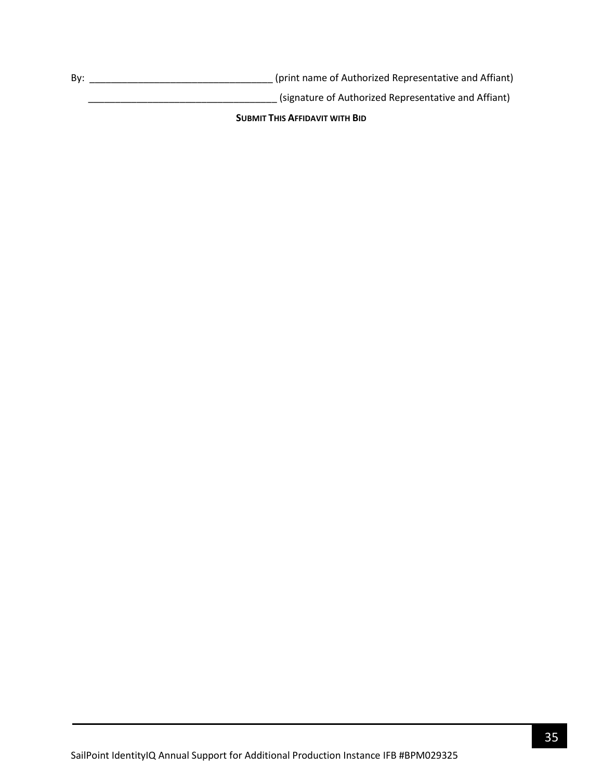By: \_\_\_\_\_\_\_\_\_\_\_\_\_\_\_\_\_\_\_\_\_\_\_\_\_\_\_\_\_\_\_\_\_\_ (print name of Authorized Representative and Affiant)

\_\_\_\_\_\_\_\_\_\_\_\_\_\_\_\_\_\_\_\_\_\_\_\_\_\_\_\_\_\_\_\_\_\_\_ (signature of Authorized Representative and Affiant)

**SUBMIT THIS AFFIDAVIT WITH BID**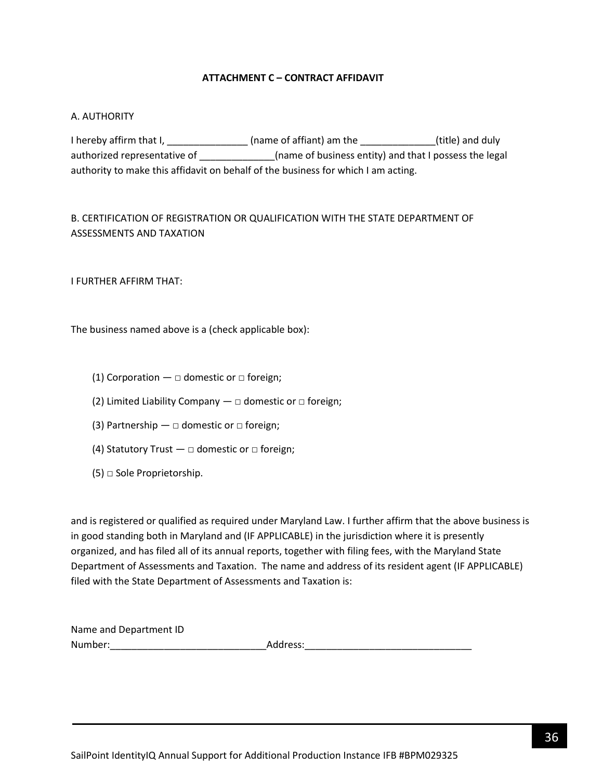### **ATTACHMENT C – CONTRACT AFFIDAVIT**

### <span id="page-35-0"></span>A. AUTHORITY

I hereby affirm that I, \_\_\_\_\_\_\_\_\_\_\_\_\_\_\_\_\_\_ (name of affiant) am the \_\_\_\_\_\_\_\_\_\_\_\_\_\_\_(title) and duly authorized representative of \_\_\_\_\_\_\_\_\_\_\_\_\_\_\_\_(name of business entity) and that I possess the legal authority to make this affidavit on behalf of the business for which I am acting.

# B. CERTIFICATION OF REGISTRATION OR QUALIFICATION WITH THE STATE DEPARTMENT OF ASSESSMENTS AND TAXATION

I FURTHER AFFIRM THAT:

The business named above is a (check applicable box):

- (1) Corporation  $\Box$  domestic or  $\Box$  foreign;
- (2) Limited Liability Company  $-\Box$  domestic or  $\Box$  foreign;
- (3) Partnership  $\Box$  domestic or  $\Box$  foreign;
- (4) Statutory Trust  $\Box$  domestic or  $\Box$  foreign;
- $(5)$   $\Box$  Sole Proprietorship.

and is registered or qualified as required under Maryland Law. I further affirm that the above business is in good standing both in Maryland and (IF APPLICABLE) in the jurisdiction where it is presently organized, and has filed all of its annual reports, together with filing fees, with the Maryland State Department of Assessments and Taxation. The name and address of its resident agent (IF APPLICABLE) filed with the State Department of Assessments and Taxation is:

| Name and Department ID |          |
|------------------------|----------|
| Number:                | Address: |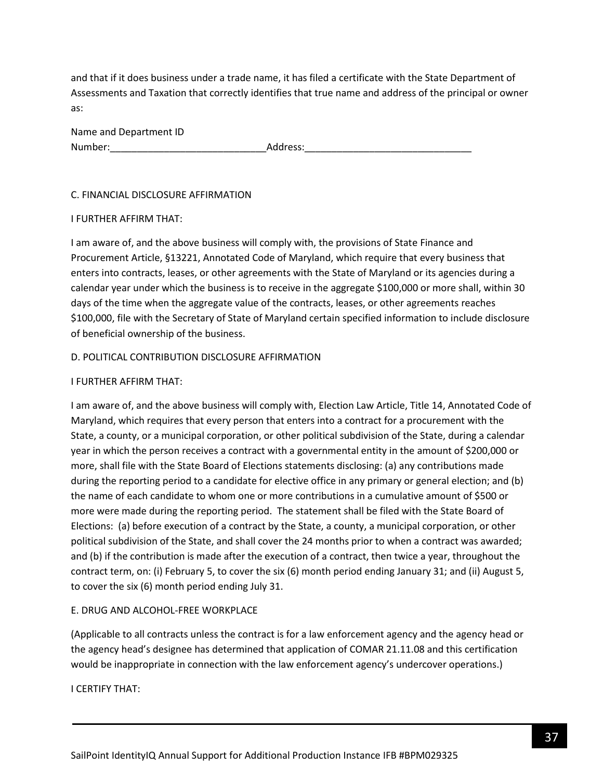and that if it does business under a trade name, it has filed a certificate with the State Department of Assessments and Taxation that correctly identifies that true name and address of the principal or owner as:

| Name and Department ID |          |
|------------------------|----------|
| Number:                | Address: |

### C. FINANCIAL DISCLOSURE AFFIRMATION

### I FURTHER AFFIRM THAT:

I am aware of, and the above business will comply with, the provisions of State Finance and Procurement Article, §13221, Annotated Code of Maryland, which require that every business that enters into contracts, leases, or other agreements with the State of Maryland or its agencies during a calendar year under which the business is to receive in the aggregate \$100,000 or more shall, within 30 days of the time when the aggregate value of the contracts, leases, or other agreements reaches \$100,000, file with the Secretary of State of Maryland certain specified information to include disclosure of beneficial ownership of the business.

### D. POLITICAL CONTRIBUTION DISCLOSURE AFFIRMATION

### I FURTHER AFFIRM THAT:

I am aware of, and the above business will comply with, Election Law Article, Title 14, Annotated Code of Maryland, which requires that every person that enters into a contract for a procurement with the State, a county, or a municipal corporation, or other political subdivision of the State, during a calendar year in which the person receives a contract with a governmental entity in the amount of \$200,000 or more, shall file with the State Board of Elections statements disclosing: (a) any contributions made during the reporting period to a candidate for elective office in any primary or general election; and (b) the name of each candidate to whom one or more contributions in a cumulative amount of \$500 or more were made during the reporting period. The statement shall be filed with the State Board of Elections: (a) before execution of a contract by the State, a county, a municipal corporation, or other political subdivision of the State, and shall cover the 24 months prior to when a contract was awarded; and (b) if the contribution is made after the execution of a contract, then twice a year, throughout the contract term, on: (i) February 5, to cover the six (6) month period ending January 31; and (ii) August 5, to cover the six (6) month period ending July 31.

# E. DRUG AND ALCOHOL-FREE WORKPLACE

(Applicable to all contracts unless the contract is for a law enforcement agency and the agency head or the agency head's designee has determined that application of COMAR 21.11.08 and this certification would be inappropriate in connection with the law enforcement agency's undercover operations.)

I CERTIFY THAT: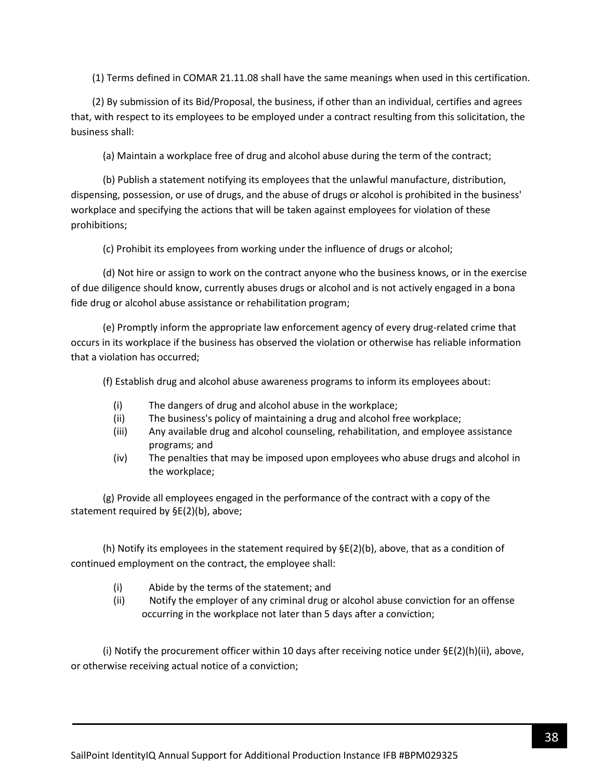(1) Terms defined in COMAR 21.11.08 shall have the same meanings when used in this certification.

(2) By submission of its Bid/Proposal, the business, if other than an individual, certifies and agrees that, with respect to its employees to be employed under a contract resulting from this solicitation, the business shall:

(a) Maintain a workplace free of drug and alcohol abuse during the term of the contract;

(b) Publish a statement notifying its employees that the unlawful manufacture, distribution, dispensing, possession, or use of drugs, and the abuse of drugs or alcohol is prohibited in the business' workplace and specifying the actions that will be taken against employees for violation of these prohibitions;

(c) Prohibit its employees from working under the influence of drugs or alcohol;

(d) Not hire or assign to work on the contract anyone who the business knows, or in the exercise of due diligence should know, currently abuses drugs or alcohol and is not actively engaged in a bona fide drug or alcohol abuse assistance or rehabilitation program;

(e) Promptly inform the appropriate law enforcement agency of every drug-related crime that occurs in its workplace if the business has observed the violation or otherwise has reliable information that a violation has occurred;

(f) Establish drug and alcohol abuse awareness programs to inform its employees about:

- (i) The dangers of drug and alcohol abuse in the workplace;
- (ii) The business's policy of maintaining a drug and alcohol free workplace;
- (iii) Any available drug and alcohol counseling, rehabilitation, and employee assistance programs; and
- (iv) The penalties that may be imposed upon employees who abuse drugs and alcohol in the workplace;

(g) Provide all employees engaged in the performance of the contract with a copy of the statement required by §E(2)(b), above;

(h) Notify its employees in the statement required by  $\Sigma(2)(b)$ , above, that as a condition of continued employment on the contract, the employee shall:

- (i) Abide by the terms of the statement; and
- (ii) Notify the employer of any criminal drug or alcohol abuse conviction for an offense occurring in the workplace not later than 5 days after a conviction;

(i) Notify the procurement officer within 10 days after receiving notice under  $\Sigma(2)(h)(ii)$ , above, or otherwise receiving actual notice of a conviction;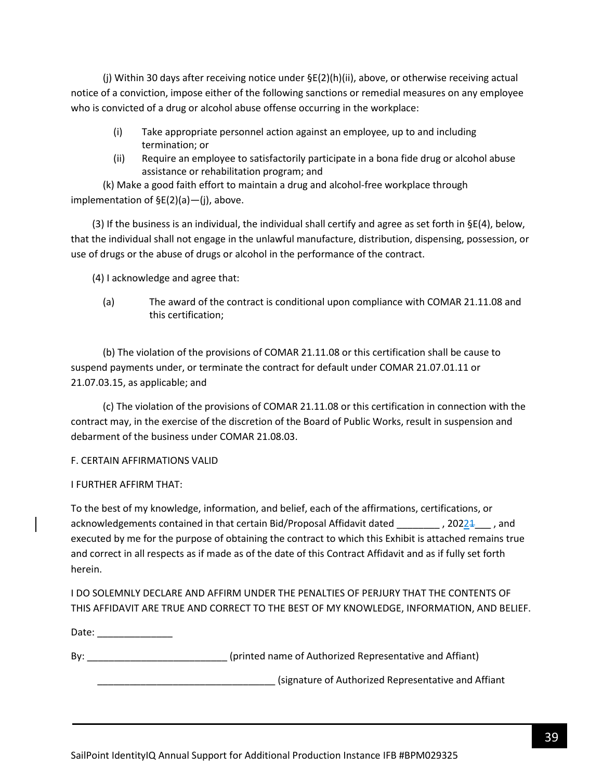(j) Within 30 days after receiving notice under §E(2)(h)(ii), above, or otherwise receiving actual notice of a conviction, impose either of the following sanctions or remedial measures on any employee who is convicted of a drug or alcohol abuse offense occurring in the workplace:

- (i) Take appropriate personnel action against an employee, up to and including termination; or
- (ii) Require an employee to satisfactorily participate in a bona fide drug or alcohol abuse assistance or rehabilitation program; and

(k) Make a good faith effort to maintain a drug and alcohol-free workplace through implementation of §E(2)(a)—(j), above.

(3) If the business is an individual, the individual shall certify and agree as set forth in  $\S E(4)$ , below, that the individual shall not engage in the unlawful manufacture, distribution, dispensing, possession, or use of drugs or the abuse of drugs or alcohol in the performance of the contract.

(4) I acknowledge and agree that:

(a) The award of the contract is conditional upon compliance with COMAR 21.11.08 and this certification;

(b) The violation of the provisions of COMAR 21.11.08 or this certification shall be cause to suspend payments under, or terminate the contract for default under COMAR 21.07.01.11 or 21.07.03.15, as applicable; and

(c) The violation of the provisions of COMAR 21.11.08 or this certification in connection with the contract may, in the exercise of the discretion of the Board of Public Works, result in suspension and debarment of the business under COMAR 21.08.03.

# F. CERTAIN AFFIRMATIONS VALID

# I FURTHER AFFIRM THAT:

To the best of my knowledge, information, and belief, each of the affirmations, certifications, or acknowledgements contained in that certain Bid/Proposal Affidavit dated \_\_\_\_\_\_\_\_\_\_, 20224 \_\_\_\_, and executed by me for the purpose of obtaining the contract to which this Exhibit is attached remains true and correct in all respects as if made as of the date of this Contract Affidavit and as if fully set forth herein.

I DO SOLEMNLY DECLARE AND AFFIRM UNDER THE PENALTIES OF PERJURY THAT THE CONTENTS OF THIS AFFIDAVIT ARE TRUE AND CORRECT TO THE BEST OF MY KNOWLEDGE, INFORMATION, AND BELIEF.

Date: \_\_\_\_\_\_\_\_\_\_\_\_\_\_\_

By: the same of Authorized Representative and Affiant) and  $\overline{B}$  (printed name of Authorized Representative and Affiant)

\_\_\_\_\_\_\_\_\_\_\_\_\_\_\_\_\_\_\_\_\_\_\_\_\_\_\_\_\_\_\_\_\_ (signature of Authorized Representative and Affiant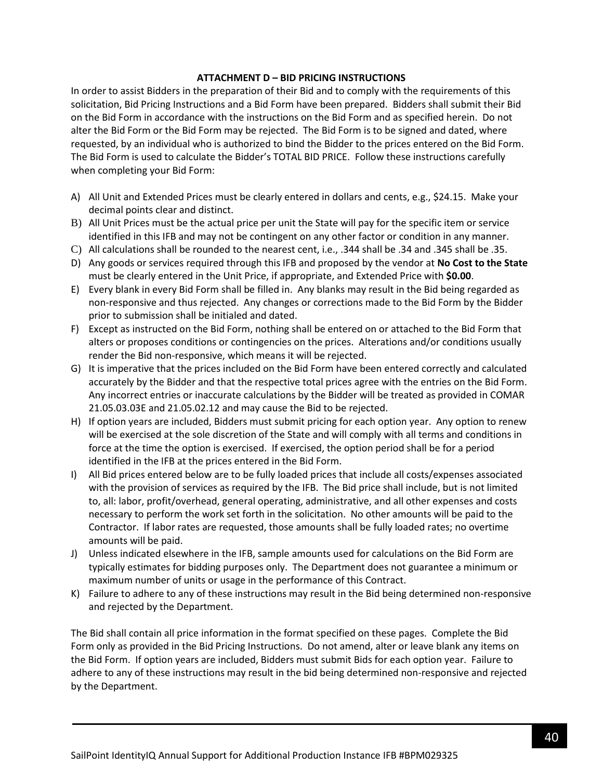### **ATTACHMENT D – BID PRICING INSTRUCTIONS**

In order to assist Bidders in the preparation of their Bid and to comply with the requirements of this solicitation, Bid Pricing Instructions and a Bid Form have been prepared. Bidders shall submit their Bid on the Bid Form in accordance with the instructions on the Bid Form and as specified herein. Do not alter the Bid Form or the Bid Form may be rejected. The Bid Form is to be signed and dated, where requested, by an individual who is authorized to bind the Bidder to the prices entered on the Bid Form. The Bid Form is used to calculate the Bidder's TOTAL BID PRICE. Follow these instructions carefully when completing your Bid Form:

- A) All Unit and Extended Prices must be clearly entered in dollars and cents, e.g., \$24.15. Make your decimal points clear and distinct.
- B) All Unit Prices must be the actual price per unit the State will pay for the specific item or service identified in this IFB and may not be contingent on any other factor or condition in any manner.
- C) All calculations shall be rounded to the nearest cent, i.e., .344 shall be .34 and .345 shall be .35.
- D) Any goods or services required through this IFB and proposed by the vendor at **No Cost to the State** must be clearly entered in the Unit Price, if appropriate, and Extended Price with **\$0.00**.
- E) Every blank in every Bid Form shall be filled in. Any blanks may result in the Bid being regarded as non-responsive and thus rejected. Any changes or corrections made to the Bid Form by the Bidder prior to submission shall be initialed and dated.
- F) Except as instructed on the Bid Form, nothing shall be entered on or attached to the Bid Form that alters or proposes conditions or contingencies on the prices. Alterations and/or conditions usually render the Bid non-responsive, which means it will be rejected.
- G) It is imperative that the prices included on the Bid Form have been entered correctly and calculated accurately by the Bidder and that the respective total prices agree with the entries on the Bid Form. Any incorrect entries or inaccurate calculations by the Bidder will be treated as provided in COMAR 21.05.03.03E and 21.05.02.12 and may cause the Bid to be rejected.
- H) If option years are included, Bidders must submit pricing for each option year. Any option to renew will be exercised at the sole discretion of the State and will comply with all terms and conditions in force at the time the option is exercised. If exercised, the option period shall be for a period identified in the IFB at the prices entered in the Bid Form.
- I) All Bid prices entered below are to be fully loaded prices that include all costs/expenses associated with the provision of services as required by the IFB. The Bid price shall include, but is not limited to, all: labor, profit/overhead, general operating, administrative, and all other expenses and costs necessary to perform the work set forth in the solicitation. No other amounts will be paid to the Contractor. If labor rates are requested, those amounts shall be fully loaded rates; no overtime amounts will be paid.
- J) Unless indicated elsewhere in the IFB, sample amounts used for calculations on the Bid Form are typically estimates for bidding purposes only. The Department does not guarantee a minimum or maximum number of units or usage in the performance of this Contract.
- K) Failure to adhere to any of these instructions may result in the Bid being determined non-responsive and rejected by the Department.

The Bid shall contain all price information in the format specified on these pages. Complete the Bid Form only as provided in the Bid Pricing Instructions. Do not amend, alter or leave blank any items on the Bid Form. If option years are included, Bidders must submit Bids for each option year. Failure to adhere to any of these instructions may result in the bid being determined non-responsive and rejected by the Department.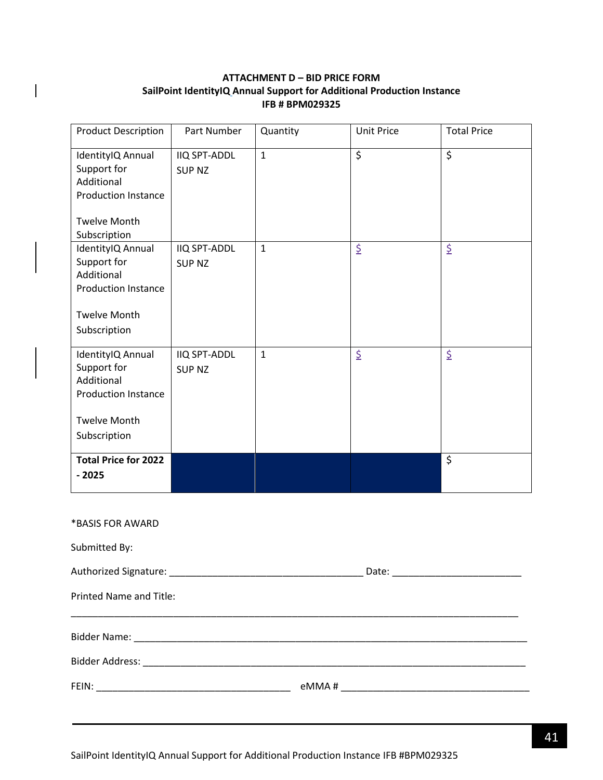# **ATTACHMENT D – BID PRICE FORM SailPoint IdentityIQ Annual Support for Additional Production Instance IFB # BPM029325**

<span id="page-40-0"></span> $\overline{\phantom{a}}$ 

| <b>Product Description</b>                                                                                          | Part Number                          | Quantity     | <b>Unit Price</b> | <b>Total Price</b> |
|---------------------------------------------------------------------------------------------------------------------|--------------------------------------|--------------|-------------------|--------------------|
| IdentityIQ Annual<br>Support for<br>Additional<br><b>Production Instance</b><br><b>Twelve Month</b><br>Subscription | <b>IIQ SPT-ADDL</b><br><b>SUP NZ</b> | $\mathbf{1}$ | \$                | \$                 |
| IdentityIQ Annual<br>Support for<br>Additional<br><b>Production Instance</b><br><b>Twelve Month</b><br>Subscription | <b>IIQ SPT-ADDL</b><br><b>SUP NZ</b> | $\mathbf{1}$ | \$                | \$                 |
| IdentityIQ Annual<br>Support for<br>Additional<br><b>Production Instance</b><br><b>Twelve Month</b><br>Subscription | <b>IIQ SPT-ADDL</b><br><b>SUP NZ</b> | $\mathbf{1}$ | \$                | \$                 |
| <b>Total Price for 2022</b><br>$-2025$                                                                              |                                      |              |                   | \$                 |
| *BASIS FOR AWARD<br>Submitted By:                                                                                   |                                      |              |                   |                    |
|                                                                                                                     |                                      |              |                   |                    |
| Printed Name and Title:                                                                                             |                                      |              |                   |                    |
|                                                                                                                     |                                      |              |                   |                    |
|                                                                                                                     |                                      |              |                   |                    |
|                                                                                                                     |                                      |              |                   |                    |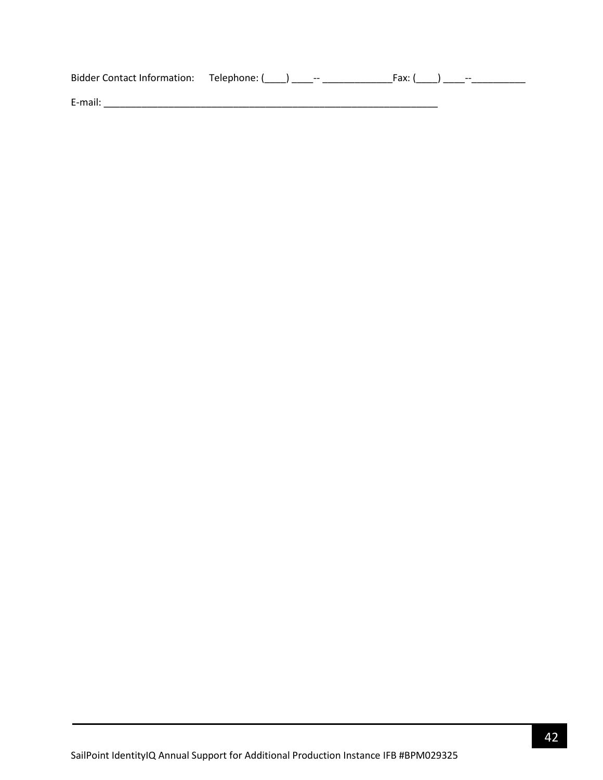| Bidder Contact Information: Telephone: () | $\hspace{0.05cm} \ldots$ | Fax: (<br>$- -$ |
|-------------------------------------------|--------------------------|-----------------|
| E-mail:                                   |                          |                 |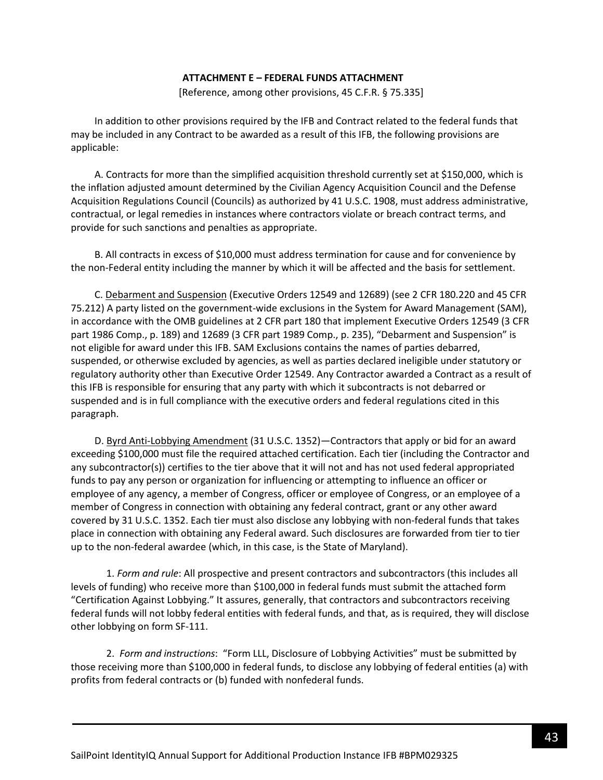#### **ATTACHMENT E – FEDERAL FUNDS ATTACHMENT**

[Reference, among other provisions, 45 C.F.R. § 75.335]

<span id="page-42-0"></span>In addition to other provisions required by the IFB and Contract related to the federal funds that may be included in any Contract to be awarded as a result of this IFB, the following provisions are applicable:

A. Contracts for more than the simplified acquisition threshold currently set at \$150,000, which is the inflation adjusted amount determined by the Civilian Agency Acquisition Council and the Defense Acquisition Regulations Council (Councils) as authorized by 41 U.S.C. 1908, must address administrative, contractual, or legal remedies in instances where contractors violate or breach contract terms, and provide for such sanctions and penalties as appropriate.

B. All contracts in excess of \$10,000 must address termination for cause and for convenience by the non-Federal entity including the manner by which it will be affected and the basis for settlement.

C. Debarment and Suspension (Executive Orders 12549 and 12689) (see 2 CFR 180.220 and 45 CFR 75.212) A party listed on the government-wide exclusions in the System for Award Management (SAM), in accordance with the OMB guidelines at 2 CFR part 180 that implement Executive Orders 12549 (3 CFR part 1986 Comp., p. 189) and 12689 (3 CFR part 1989 Comp., p. 235), "Debarment and Suspension" is not eligible for award under this IFB. SAM Exclusions contains the names of parties debarred, suspended, or otherwise excluded by agencies, as well as parties declared ineligible under statutory or regulatory authority other than Executive Order 12549. Any Contractor awarded a Contract as a result of this IFB is responsible for ensuring that any party with which it subcontracts is not debarred or suspended and is in full compliance with the executive orders and federal regulations cited in this paragraph.

D. Byrd Anti-Lobbying Amendment (31 U.S.C. 1352)—Contractors that apply or bid for an award exceeding \$100,000 must file the required attached certification. Each tier (including the Contractor and any subcontractor(s)) certifies to the tier above that it will not and has not used federal appropriated funds to pay any person or organization for influencing or attempting to influence an officer or employee of any agency, a member of Congress, officer or employee of Congress, or an employee of a member of Congress in connection with obtaining any federal contract, grant or any other award covered by 31 U.S.C. 1352. Each tier must also disclose any lobbying with non-federal funds that takes place in connection with obtaining any Federal award. Such disclosures are forwarded from tier to tier up to the non-federal awardee (which, in this case, is the State of Maryland).

1. *Form and rule*: All prospective and present contractors and subcontractors (this includes all levels of funding) who receive more than \$100,000 in federal funds must submit the attached form "Certification Against Lobbying." It assures, generally, that contractors and subcontractors receiving federal funds will not lobby federal entities with federal funds, and that, as is required, they will disclose other lobbying on form SF-111.

2. *Form and instructions*: "Form LLL, Disclosure of Lobbying Activities" must be submitted by those receiving more than \$100,000 in federal funds, to disclose any lobbying of federal entities (a) with profits from federal contracts or (b) funded with nonfederal funds.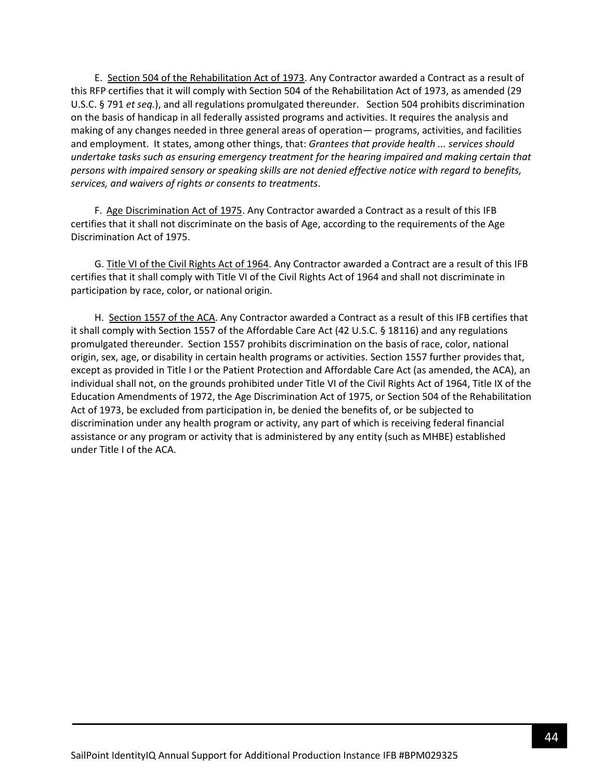E. Section 504 of the Rehabilitation Act of 1973. Any Contractor awarded a Contract as a result of this RFP certifies that it will comply with Section 504 of the Rehabilitation Act of 1973, as amended (29 U.S.C. § 791 *et seq.*), and all regulations promulgated thereunder. Section 504 prohibits discrimination on the basis of handicap in all federally assisted programs and activities. It requires the analysis and making of any changes needed in three general areas of operation— programs, activities, and facilities and employment. It states, among other things, that: *Grantees that provide health ... services should undertake tasks such as ensuring emergency treatment for the hearing impaired and making certain that persons with impaired sensory or speaking skills are not denied effective notice with regard to benefits, services, and waivers of rights or consents to treatments*.

F. Age Discrimination Act of 1975. Any Contractor awarded a Contract as a result of this IFB certifies that it shall not discriminate on the basis of Age, according to the requirements of the Age Discrimination Act of 1975.

G. Title VI of the Civil Rights Act of 1964. Any Contractor awarded a Contract are a result of this IFB certifies that it shall comply with Title VI of the Civil Rights Act of 1964 and shall not discriminate in participation by race, color, or national origin.

H. Section 1557 of the ACA. Any Contractor awarded a Contract as a result of this IFB certifies that it shall comply with Section 1557 of the Affordable Care Act (42 U.S.C. § 18116) and any regulations promulgated thereunder. Section 1557 prohibits discrimination on the basis of race, color, national origin, sex, age, or disability in certain health programs or activities. Section 1557 further provides that, except as provided in Title I or the Patient Protection and Affordable Care Act (as amended, the ACA), an individual shall not, on the grounds prohibited under Title VI of the Civil Rights Act of 1964, Title IX of the Education Amendments of 1972, the Age Discrimination Act of 1975, or Section 504 of the Rehabilitation Act of 1973, be excluded from participation in, be denied the benefits of, or be subjected to discrimination under any health program or activity, any part of which is receiving federal financial assistance or any program or activity that is administered by any entity (such as MHBE) established under Title I of the ACA.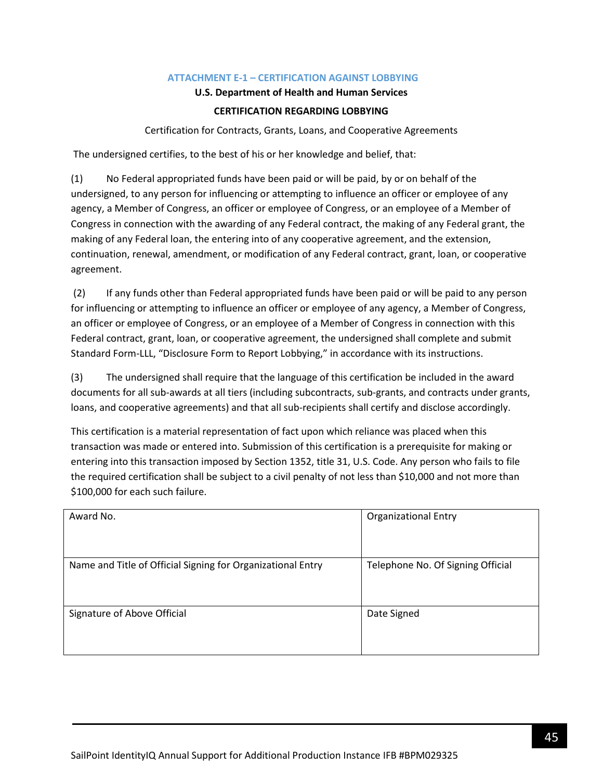### **ATTACHMENT E-1 – CERTIFICATION AGAINST LOBBYING**

### **U.S. Department of Health and Human Services**

## **CERTIFICATION REGARDING LOBBYING**

Certification for Contracts, Grants, Loans, and Cooperative Agreements

<span id="page-44-0"></span>The undersigned certifies, to the best of his or her knowledge and belief, that:

(1) No Federal appropriated funds have been paid or will be paid, by or on behalf of the undersigned, to any person for influencing or attempting to influence an officer or employee of any agency, a Member of Congress, an officer or employee of Congress, or an employee of a Member of Congress in connection with the awarding of any Federal contract, the making of any Federal grant, the making of any Federal loan, the entering into of any cooperative agreement, and the extension, continuation, renewal, amendment, or modification of any Federal contract, grant, loan, or cooperative agreement.

(2) If any funds other than Federal appropriated funds have been paid or will be paid to any person for influencing or attempting to influence an officer or employee of any agency, a Member of Congress, an officer or employee of Congress, or an employee of a Member of Congress in connection with this Federal contract, grant, loan, or cooperative agreement, the undersigned shall complete and submit Standard Form-LLL, "Disclosure Form to Report Lobbying," in accordance with its instructions.

(3) The undersigned shall require that the language of this certification be included in the award documents for all sub-awards at all tiers (including subcontracts, sub-grants, and contracts under grants, loans, and cooperative agreements) and that all sub-recipients shall certify and disclose accordingly.

This certification is a material representation of fact upon which reliance was placed when this transaction was made or entered into. Submission of this certification is a prerequisite for making or entering into this transaction imposed by Section 1352, title 31, U.S. Code. Any person who fails to file the required certification shall be subject to a civil penalty of not less than \$10,000 and not more than \$100,000 for each such failure.

| Award No.                                                   | <b>Organizational Entry</b>       |
|-------------------------------------------------------------|-----------------------------------|
| Name and Title of Official Signing for Organizational Entry | Telephone No. Of Signing Official |
| Signature of Above Official                                 | Date Signed                       |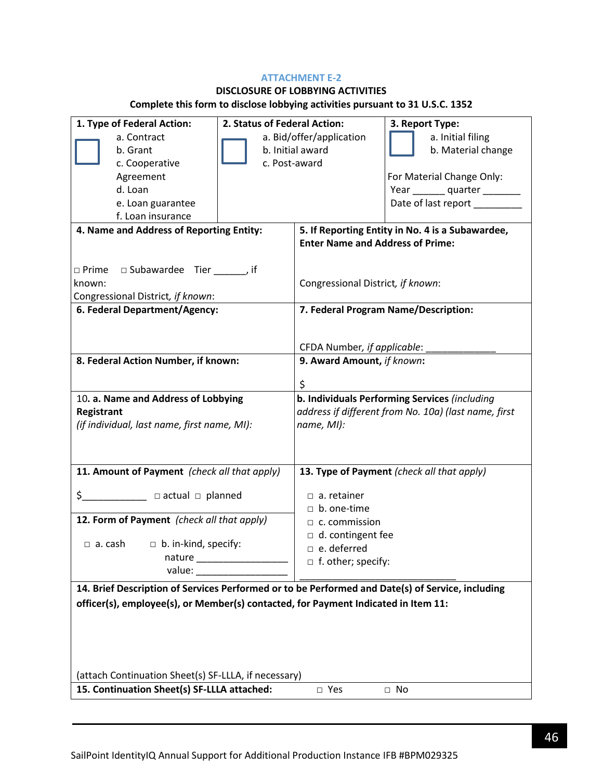### **ATTACHMENT E-2**

# **DISCLOSURE OF LOBBYING ACTIVITIES**

# **Complete this form to disclose lobbying activities pursuant to 31 U.S.C. 1352**

| 1. Type of Federal Action:                                                                       | 2. Status of Federal Action: |                                                      | 3. Report Type:                                  |
|--------------------------------------------------------------------------------------------------|------------------------------|------------------------------------------------------|--------------------------------------------------|
| a. Contract                                                                                      | a. Bid/offer/application     |                                                      | a. Initial filing                                |
| b. Grant                                                                                         | b. Initial award             |                                                      | b. Material change                               |
| c. Cooperative                                                                                   | c. Post-award                |                                                      |                                                  |
| Agreement                                                                                        |                              |                                                      | For Material Change Only:                        |
| d. Loan                                                                                          |                              |                                                      | Year ________ quarter ________                   |
| e. Loan guarantee                                                                                |                              |                                                      | Date of last report _________                    |
| f. Loan insurance                                                                                |                              |                                                      |                                                  |
| 4. Name and Address of Reporting Entity:                                                         |                              |                                                      | 5. If Reporting Entity in No. 4 is a Subawardee, |
|                                                                                                  |                              | <b>Enter Name and Address of Prime:</b>              |                                                  |
|                                                                                                  |                              |                                                      |                                                  |
| $\Box$ Prime $\Box$ Subawardee Tier ______, if                                                   |                              |                                                      |                                                  |
| known:                                                                                           |                              | Congressional District, if known:                    |                                                  |
| Congressional District, if known:                                                                |                              |                                                      |                                                  |
| 6. Federal Department/Agency:                                                                    |                              |                                                      | 7. Federal Program Name/Description:             |
|                                                                                                  |                              |                                                      |                                                  |
|                                                                                                  |                              | CFDA Number, if applicable:                          |                                                  |
| 8. Federal Action Number, if known:                                                              |                              | 9. Award Amount, if known:                           |                                                  |
|                                                                                                  |                              |                                                      |                                                  |
|                                                                                                  |                              | \$                                                   |                                                  |
| 10. a. Name and Address of Lobbying                                                              |                              |                                                      | b. Individuals Performing Services (including    |
| Registrant                                                                                       |                              | address if different from No. 10a) (last name, first |                                                  |
| (if individual, last name, first name, MI):                                                      |                              | name, MI):                                           |                                                  |
|                                                                                                  |                              |                                                      |                                                  |
|                                                                                                  |                              |                                                      |                                                  |
| 11. Amount of Payment (check all that apply)                                                     |                              |                                                      | 13. Type of Payment (check all that apply)       |
| $\zeta$ $\Box$ $\Box$ actual $\Box$ planned                                                      |                              | $\Box$ a. retainer                                   |                                                  |
|                                                                                                  |                              | $\Box$ b. one-time                                   |                                                  |
| 12. Form of Payment (check all that apply)                                                       |                              | $\Box$ c. commission                                 |                                                  |
|                                                                                                  |                              | $\Box$ d. contingent fee                             |                                                  |
| $\Box$ b. in-kind, specify:<br>$\Box$ a. cash                                                    |                              | $\Box$ e. deferred                                   |                                                  |
| nature                                                                                           |                              | $\Box$ f. other; specify:                            |                                                  |
| value:                                                                                           |                              |                                                      |                                                  |
| 14. Brief Description of Services Performed or to be Performed and Date(s) of Service, including |                              |                                                      |                                                  |
| officer(s), employee(s), or Member(s) contacted, for Payment Indicated in Item 11:               |                              |                                                      |                                                  |
|                                                                                                  |                              |                                                      |                                                  |
|                                                                                                  |                              |                                                      |                                                  |
|                                                                                                  |                              |                                                      |                                                  |
|                                                                                                  |                              |                                                      |                                                  |
| (attach Continuation Sheet(s) SF-LLLA, if necessary)                                             |                              |                                                      |                                                  |
|                                                                                                  |                              |                                                      |                                                  |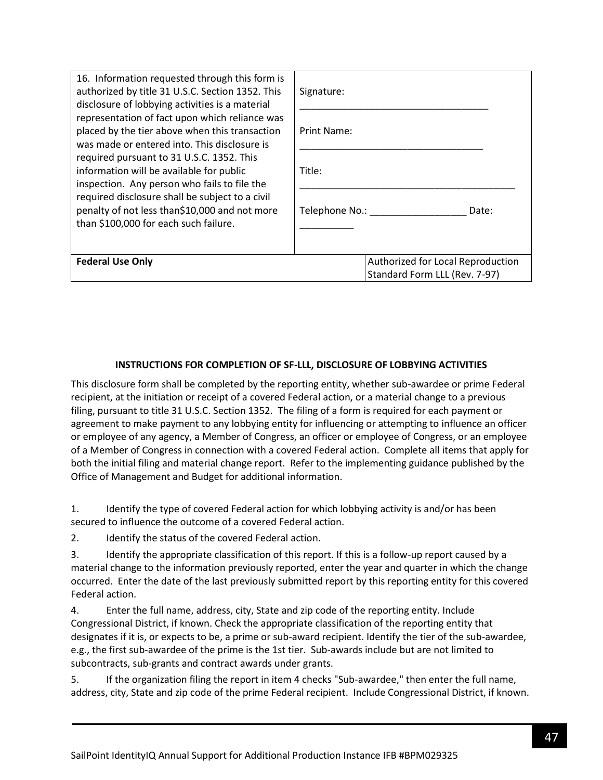| 16. Information requested through this form is<br>authorized by title 31 U.S.C. Section 1352. This<br>disclosure of lobbying activities is a material                                                                                                                                                                                                                                                                                  | Signature:                                                         |  |
|----------------------------------------------------------------------------------------------------------------------------------------------------------------------------------------------------------------------------------------------------------------------------------------------------------------------------------------------------------------------------------------------------------------------------------------|--------------------------------------------------------------------|--|
| representation of fact upon which reliance was<br>placed by the tier above when this transaction<br>was made or entered into. This disclosure is<br>required pursuant to 31 U.S.C. 1352. This<br>information will be available for public<br>inspection. Any person who fails to file the<br>required disclosure shall be subject to a civil<br>penalty of not less than\$10,000 and not more<br>than \$100,000 for each such failure. | Print Name:                                                        |  |
|                                                                                                                                                                                                                                                                                                                                                                                                                                        | Title:                                                             |  |
|                                                                                                                                                                                                                                                                                                                                                                                                                                        | Telephone No.:<br>Date:                                            |  |
| <b>Federal Use Only</b>                                                                                                                                                                                                                                                                                                                                                                                                                | Authorized for Local Reproduction<br>Standard Form LLL (Rev. 7-97) |  |

### **INSTRUCTIONS FOR COMPLETION OF SF-LLL, DISCLOSURE OF LOBBYING ACTIVITIES**

This disclosure form shall be completed by the reporting entity, whether sub-awardee or prime Federal recipient, at the initiation or receipt of a covered Federal action, or a material change to a previous filing, pursuant to title 31 U.S.C. Section 1352. The filing of a form is required for each payment or agreement to make payment to any lobbying entity for influencing or attempting to influence an officer or employee of any agency, a Member of Congress, an officer or employee of Congress, or an employee of a Member of Congress in connection with a covered Federal action. Complete all items that apply for both the initial filing and material change report. Refer to the implementing guidance published by the Office of Management and Budget for additional information.

1. Identify the type of covered Federal action for which lobbying activity is and/or has been secured to influence the outcome of a covered Federal action.

2. Identify the status of the covered Federal action.

3. Identify the appropriate classification of this report. If this is a follow-up report caused by a material change to the information previously reported, enter the year and quarter in which the change occurred. Enter the date of the last previously submitted report by this reporting entity for this covered Federal action.

4. Enter the full name, address, city, State and zip code of the reporting entity. Include Congressional District, if known. Check the appropriate classification of the reporting entity that designates if it is, or expects to be, a prime or sub-award recipient. Identify the tier of the sub-awardee, e.g., the first sub-awardee of the prime is the 1st tier. Sub-awards include but are not limited to subcontracts, sub-grants and contract awards under grants.

5. If the organization filing the report in item 4 checks "Sub-awardee," then enter the full name, address, city, State and zip code of the prime Federal recipient. Include Congressional District, if known.